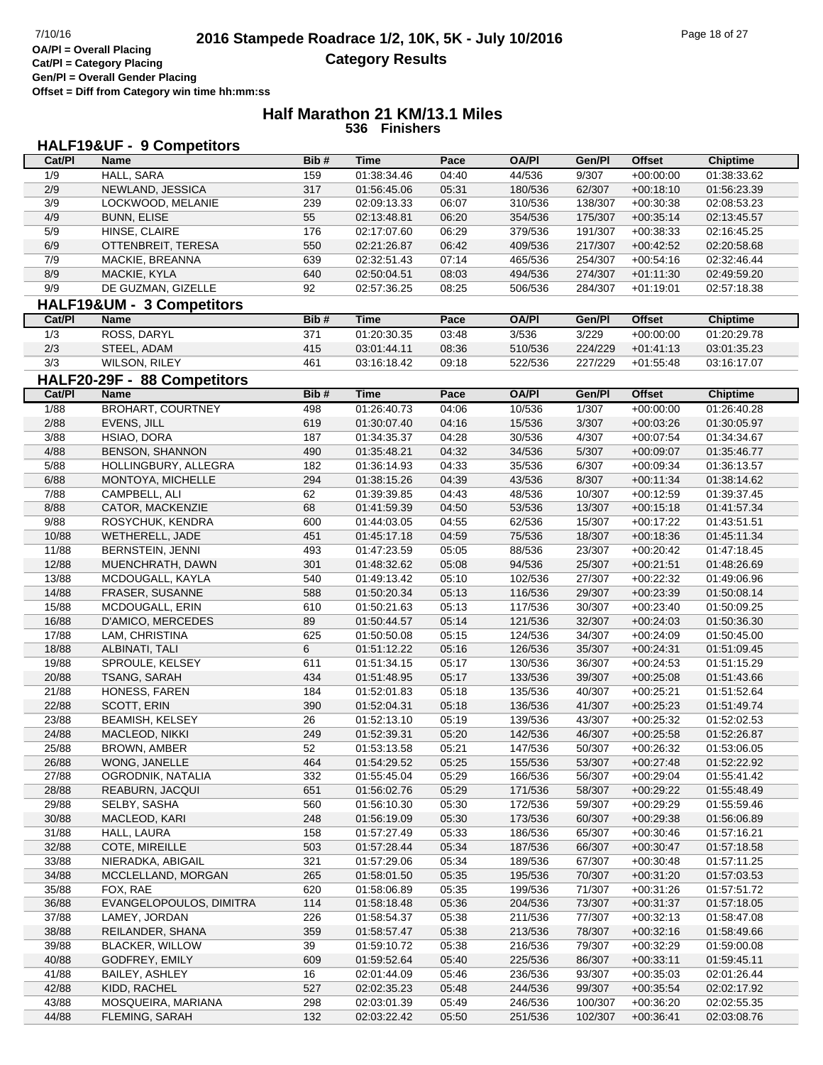#### **Half Marathon 21 KM/13.1 Miles 536 Finishers**

## **HALF19&UF - 9 Competitors**

| Cat/Pl | Name                        | Bib# | <b>Time</b> | Pace  | <b>OA/PI</b> | Gen/Pl  | <b>Offset</b> | <b>Chiptime</b> |
|--------|-----------------------------|------|-------------|-------|--------------|---------|---------------|-----------------|
| 1/9    | <b>HALL, SARA</b>           | 159  | 01:38:34.46 | 04:40 | 44/536       | 9/307   | $+00:00:00$   | 01:38:33.62     |
| 2/9    | NEWLAND, JESSICA            | 317  | 01:56:45.06 | 05:31 | 180/536      | 62/307  | $+00:18:10$   | 01:56:23.39     |
| 3/9    | LOCKWOOD, MELANIE           | 239  | 02:09:13.33 | 06:07 | 310/536      | 138/307 | $+00:30:38$   | 02:08:53.23     |
| 4/9    | <b>BUNN, ELISE</b>          | 55   | 02:13:48.81 | 06:20 | 354/536      | 175/307 | $+00:35:14$   | 02:13:45.57     |
| 5/9    | HINSE, CLAIRE               | 176  | 02:17:07.60 | 06:29 | 379/536      | 191/307 | $+00:38:33$   | 02:16:45.25     |
| 6/9    | OTTENBREIT, TERESA          | 550  | 02:21:26.87 | 06:42 | 409/536      | 217/307 | $+00:42:52$   | 02:20:58.68     |
| 7/9    | MACKIE, BREANNA             | 639  | 02:32:51.43 | 07:14 | 465/536      | 254/307 | $+00:54:16$   | 02:32:46.44     |
| 8/9    | MACKIE, KYLA                | 640  | 02:50:04.51 | 08:03 | 494/536      | 274/307 | $+01:11:30$   | 02:49:59.20     |
| 9/9    | DE GUZMAN, GIZELLE          | 92   | 02:57:36.25 | 08:25 | 506/536      | 284/307 | $+01:19:01$   | 02:57:18.38     |
|        |                             |      |             |       |              |         |               |                 |
|        | HALF19&UM - 3 Competitors   |      |             |       |              |         |               |                 |
| Cat/PI | <b>Name</b>                 | Bib# | <b>Time</b> | Pace  | <b>OA/PI</b> | Gen/Pl  | <b>Offset</b> | <b>Chiptime</b> |
| 1/3    | ROSS, DARYL                 | 371  | 01:20:30.35 | 03:48 | 3/536        | 3/229   | $+00:00:00$   | 01:20:29.78     |
| 2/3    | STEEL, ADAM                 | 415  | 03:01:44.11 | 08:36 | 510/536      | 224/229 | $+01:41:13$   | 03:01:35.23     |
| 3/3    | WILSON, RILEY               | 461  | 03:16:18.42 | 09:18 | 522/536      | 227/229 | $+01:55:48$   | 03:16:17.07     |
|        | HALF20-29F - 88 Competitors |      |             |       |              |         |               |                 |
| Cat/PI | <b>Name</b>                 | Bib# | <b>Time</b> | Pace  | <b>OA/PI</b> | Gen/Pl  | <b>Offset</b> | <b>Chiptime</b> |
| 1/88   | <b>BROHART, COURTNEY</b>    | 498  | 01:26:40.73 | 04:06 | 10/536       | 1/307   | $+00:00:00$   | 01:26:40.28     |
| 2/88   | EVENS, JILL                 | 619  | 01:30:07.40 | 04:16 | 15/536       | 3/307   | $+00:03:26$   | 01:30:05.97     |
| 3/88   | HSIAO, DORA                 | 187  | 01:34:35.37 | 04:28 | 30/536       | 4/307   | $+00:07:54$   | 01:34:34.67     |
| 4/88   | BENSON, SHANNON             | 490  | 01:35:48.21 | 04:32 | 34/536       | 5/307   | $+00:09:07$   | 01:35:46.77     |
| 5/88   | HOLLINGBURY, ALLEGRA        | 182  | 01:36:14.93 | 04:33 | 35/536       | 6/307   | $+00:09:34$   | 01:36:13.57     |
| 6/88   | MONTOYA, MICHELLE           | 294  | 01:38:15.26 | 04:39 | 43/536       | 8/307   | $+00:11:34$   | 01:38:14.62     |
| 7/88   | CAMPBELL, ALI               | 62   | 01:39:39.85 | 04:43 | 48/536       | 10/307  | $+00:12:59$   | 01:39:37.45     |
| 8/88   | CATOR, MACKENZIE            | 68   | 01:41:59.39 | 04:50 | 53/536       | 13/307  | $+00:15:18$   | 01:41:57.34     |
| 9/88   | ROSYCHUK, KENDRA            | 600  | 01:44:03.05 | 04:55 | 62/536       | 15/307  | $+00:17:22$   | 01:43:51.51     |
| 10/88  | WETHERELL, JADE             | 451  | 01:45:17.18 | 04:59 | 75/536       | 18/307  | $+00:18:36$   | 01:45:11.34     |
| 11/88  | <b>BERNSTEIN, JENNI</b>     | 493  | 01:47:23.59 | 05:05 | 88/536       | 23/307  | $+00:20:42$   | 01:47:18.45     |
| 12/88  | MUENCHRATH, DAWN            | 301  | 01:48:32.62 | 05:08 | 94/536       | 25/307  | $+00:21:51$   | 01:48:26.69     |
| 13/88  | MCDOUGALL, KAYLA            | 540  | 01:49:13.42 | 05:10 | 102/536      | 27/307  | $+00:22:32$   | 01:49:06.96     |
| 14/88  | FRASER, SUSANNE             | 588  | 01:50:20.34 | 05:13 | 116/536      | 29/307  | $+00:23:39$   | 01:50:08.14     |
|        |                             | 610  |             |       |              |         |               |                 |
| 15/88  | MCDOUGALL, ERIN             |      | 01:50:21.63 | 05:13 | 117/536      | 30/307  | $+00:23:40$   | 01:50:09.25     |
| 16/88  | D'AMICO, MERCEDES           | 89   | 01:50:44.57 | 05:14 | 121/536      | 32/307  | $+00:24:03$   | 01:50:36.30     |
| 17/88  | LAM, CHRISTINA              | 625  | 01:50:50.08 | 05:15 | 124/536      | 34/307  | $+00:24:09$   | 01:50:45.00     |
| 18/88  | ALBINATI, TALI              | 6    | 01:51:12.22 | 05:16 | 126/536      | 35/307  | $+00:24:31$   | 01:51:09.45     |
| 19/88  | SPROULE, KELSEY             | 611  | 01:51:34.15 | 05:17 | 130/536      | 36/307  | $+00:24:53$   | 01:51:15.29     |
| 20/88  | TSANG, SARAH                | 434  | 01:51:48.95 | 05:17 | 133/536      | 39/307  | $+00:25:08$   | 01:51:43.66     |
| 21/88  | HONESS, FAREN               | 184  | 01:52:01.83 | 05:18 | 135/536      | 40/307  | $+00:25:21$   | 01:51:52.64     |
| 22/88  | SCOTT, ERIN                 | 390  | 01:52:04.31 | 05:18 | 136/536      | 41/307  | $+00:25:23$   | 01:51:49.74     |
| 23/88  | <b>BEAMISH, KELSEY</b>      | 26   | 01:52:13.10 | 05:19 | 139/536      | 43/307  | $+00:25:32$   | 01:52:02.53     |
| 24/88  | MACLEOD, NIKKI              | 249  | 01:52:39.31 | 05:20 | 142/536      | 46/307  | $+00:25:58$   | 01:52:26.87     |
| 25/88  | <b>BROWN, AMBER</b>         | 52   | 01:53:13.58 | 05:21 | 147/536      | 50/307  | $+00:26:32$   | 01:53:06.05     |
| 26/88  | WONG, JANELLE               | 464  | 01:54:29.52 | 05:25 | 155/536      | 53/307  | $+00:27:48$   | 01:52:22.92     |
| 27/88  | OGRODNIK, NATALIA           | 332  | 01:55:45.04 | 05:29 | 166/536      | 56/307  | $+00:29:04$   | 01:55:41.42     |
| 28/88  | REABURN, JACQUI             | 651  | 01:56:02.76 | 05:29 | 171/536      | 58/307  | $+00:29:22$   | 01:55:48.49     |
| 29/88  | SELBY, SASHA                | 560  | 01:56:10.30 | 05:30 | 172/536      | 59/307  | $+00:29:29$   | 01:55:59.46     |
| 30/88  | MACLEOD, KARI               | 248  | 01:56:19.09 | 05:30 | 173/536      | 60/307  | $+00:29:38$   | 01:56:06.89     |
| 31/88  | HALL, LAURA                 | 158  | 01:57:27.49 | 05:33 | 186/536      | 65/307  | $+00:30:46$   | 01:57:16.21     |
| 32/88  | COTE, MIREILLE              | 503  | 01:57:28.44 | 05:34 | 187/536      | 66/307  | $+00:30:47$   | 01:57:18.58     |
| 33/88  | NIERADKA, ABIGAIL           | 321  | 01:57:29.06 | 05:34 | 189/536      | 67/307  | $+00:30:48$   | 01:57:11.25     |
| 34/88  | MCCLELLAND, MORGAN          | 265  | 01:58:01.50 | 05:35 | 195/536      | 70/307  | $+00:31:20$   | 01:57:03.53     |
| 35/88  | FOX, RAE                    | 620  | 01:58:06.89 | 05:35 | 199/536      | 71/307  | $+00:31:26$   | 01:57:51.72     |
| 36/88  | EVANGELOPOULOS, DIMITRA     | 114  | 01:58:18.48 | 05:36 | 204/536      | 73/307  | $+00:31:37$   | 01:57:18.05     |
| 37/88  | LAMEY, JORDAN               | 226  | 01:58:54.37 | 05:38 | 211/536      | 77/307  | $+00:32:13$   | 01:58:47.08     |
| 38/88  | REILANDER, SHANA            | 359  | 01:58:57.47 | 05:38 | 213/536      | 78/307  | $+00:32:16$   | 01:58:49.66     |
| 39/88  | <b>BLACKER, WILLOW</b>      | 39   | 01:59:10.72 | 05:38 | 216/536      | 79/307  | $+00:32:29$   | 01:59:00.08     |
| 40/88  | GODFREY, EMILY              | 609  | 01:59:52.64 | 05:40 | 225/536      | 86/307  | $+00:33:11$   | 01:59:45.11     |
| 41/88  | BAILEY, ASHLEY              | 16   | 02:01:44.09 | 05:46 | 236/536      | 93/307  | $+00:35:03$   | 02:01:26.44     |
| 42/88  | KIDD, RACHEL                | 527  | 02:02:35.23 | 05:48 | 244/536      | 99/307  | $+00:35:54$   | 02:02:17.92     |
| 43/88  | MOSQUEIRA, MARIANA          | 298  | 02:03:01.39 | 05:49 | 246/536      | 100/307 | $+00:36:20$   | 02:02:55.35     |
| 44/88  | FLEMING, SARAH              | 132  | 02:03:22.42 | 05:50 | 251/536      | 102/307 | $+00:36:41$   | 02:03:08.76     |
|        |                             |      |             |       |              |         |               |                 |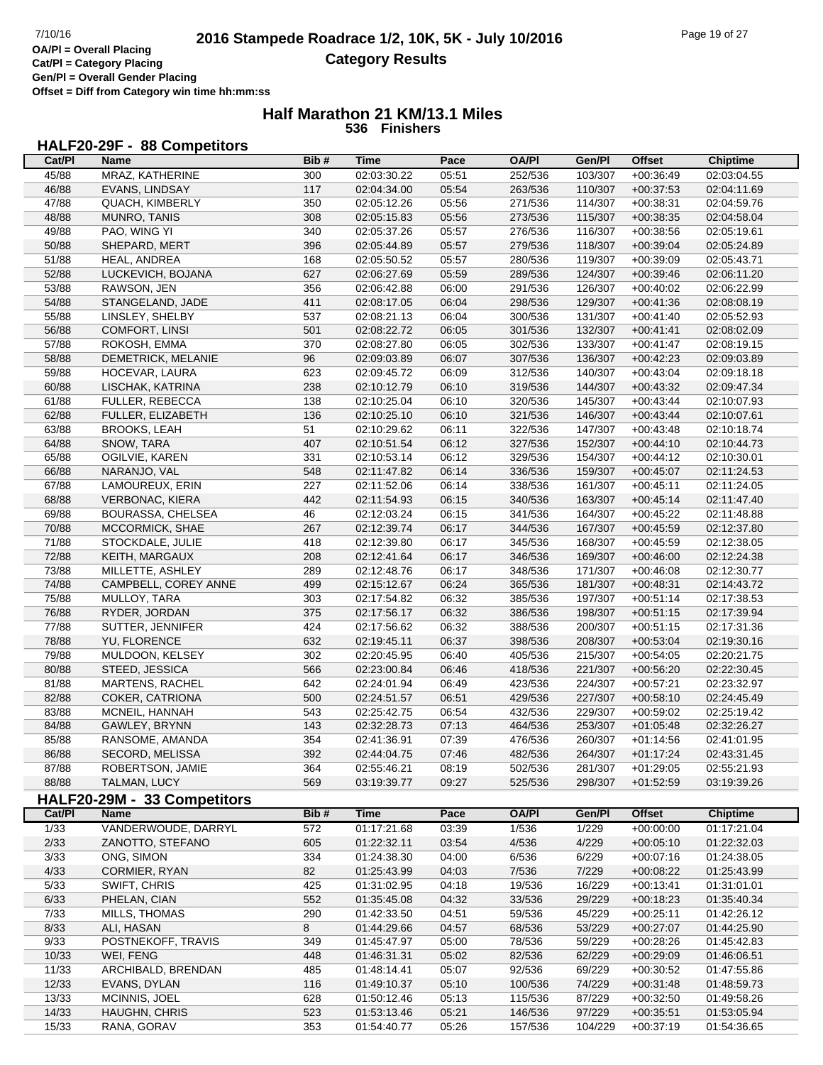**Offset = Diff from Category win time hh:mm:ss**

#### **Half Marathon 21 KM/13.1 Miles 536 Finishers**

#### **HALF20-29F - 88 Competitors**

| Cat/PI | Name                        | Bib# | Time        | Pace  | <b>OA/PI</b> | Gen/Pl         | <b>Offset</b> | <b>Chiptime</b> |
|--------|-----------------------------|------|-------------|-------|--------------|----------------|---------------|-----------------|
| 45/88  | MRAZ, KATHERINE             | 300  | 02:03:30.22 | 05:51 | 252/536      | 103/307        | $+00:36:49$   | 02:03:04.55     |
| 46/88  | EVANS, LINDSAY              | 117  | 02:04:34.00 | 05:54 | 263/536      | 110/307        | $+00:37:53$   | 02:04:11.69     |
| 47/88  | QUACH, KIMBERLY             | 350  | 02:05:12.26 | 05:56 | 271/536      | 114/307        | $+00:38:31$   | 02:04:59.76     |
| 48/88  | MUNRO, TANIS                | 308  | 02:05:15.83 | 05:56 | 273/536      | 115/307        | $+00:38:35$   | 02:04:58.04     |
| 49/88  | PAO, WING YI                | 340  | 02:05:37.26 | 05:57 | 276/536      | 116/307        | $+00:38:56$   | 02:05:19.61     |
| 50/88  | SHEPARD, MERT               | 396  | 02:05:44.89 | 05:57 | 279/536      | 118/307        | $+00:39:04$   | 02:05:24.89     |
| 51/88  | HEAL, ANDREA                | 168  | 02:05:50.52 | 05:57 | 280/536      | 119/307        | $+00:39:09$   | 02:05:43.71     |
| 52/88  | LUCKEVICH, BOJANA           | 627  | 02:06:27.69 | 05:59 | 289/536      | 124/307        | $+00:39:46$   | 02:06:11.20     |
| 53/88  | RAWSON, JEN                 | 356  | 02:06:42.88 | 06:00 | 291/536      | 126/307        | $+00:40:02$   | 02:06:22.99     |
| 54/88  | STANGELAND, JADE            | 411  | 02:08:17.05 | 06:04 | 298/536      | 129/307        | $+00:41:36$   | 02:08:08.19     |
| 55/88  | LINSLEY, SHELBY             | 537  | 02:08:21.13 | 06:04 | 300/536      | 131/307        | $+00:41:40$   | 02:05:52.93     |
| 56/88  | COMFORT, LINSI              | 501  | 02:08:22.72 | 06:05 | 301/536      | 132/307        | $+00:41:41$   | 02:08:02.09     |
| 57/88  | ROKOSH, EMMA                | 370  | 02:08:27.80 | 06:05 | 302/536      | 133/307        | $+00:41:47$   | 02:08:19.15     |
| 58/88  | DEMETRICK, MELANIE          | 96   | 02:09:03.89 | 06:07 | 307/536      | 136/307        | $+00:42:23$   | 02:09:03.89     |
| 59/88  | HOCEVAR, LAURA              |      |             |       |              |                |               |                 |
|        |                             | 623  | 02:09:45.72 | 06:09 | 312/536      | 140/307        | $+00:43:04$   | 02:09:18.18     |
| 60/88  | LISCHAK, KATRINA            | 238  | 02:10:12.79 | 06:10 | 319/536      | 144/307        | $+00:43:32$   | 02:09:47.34     |
| 61/88  | FULLER, REBECCA             | 138  | 02:10:25.04 | 06:10 | 320/536      | 145/307        | $+00:43:44$   | 02:10:07.93     |
| 62/88  | FULLER, ELIZABETH           | 136  | 02:10:25.10 | 06:10 | 321/536      | 146/307        | $+00:43:44$   | 02:10:07.61     |
| 63/88  | <b>BROOKS, LEAH</b>         | 51   | 02:10:29.62 | 06:11 | 322/536      | 147/307        | $+00:43:48$   | 02:10:18.74     |
| 64/88  | SNOW, TARA                  | 407  | 02:10:51.54 | 06:12 | 327/536      | 152/307        | $+00.44:10$   | 02:10:44.73     |
| 65/88  | OGILVIE, KAREN              | 331  | 02:10:53.14 | 06:12 | 329/536      | 154/307        | $+00:44:12$   | 02:10:30.01     |
| 66/88  | NARANJO, VAL                | 548  | 02:11:47.82 | 06:14 | 336/536      | 159/307        | $+00:45:07$   | 02:11:24.53     |
| 67/88  | LAMOUREUX, ERIN             | 227  | 02:11:52.06 | 06:14 | 338/536      | 161/307        | $+00:45:11$   | 02:11:24.05     |
| 68/88  | <b>VERBONAC, KIERA</b>      | 442  | 02:11:54.93 | 06:15 | 340/536      | 163/307        | $+00:45:14$   | 02:11:47.40     |
| 69/88  | BOURASSA, CHELSEA           | 46   | 02:12:03.24 | 06:15 | 341/536      | 164/307        | $+00:45:22$   | 02:11:48.88     |
| 70/88  | MCCORMICK, SHAE             | 267  | 02:12:39.74 | 06:17 | 344/536      | 167/307        | $+00:45:59$   | 02:12:37.80     |
| 71/88  | STOCKDALE, JULIE            | 418  | 02:12:39.80 | 06:17 | 345/536      | 168/307        | $+00:45:59$   | 02:12:38.05     |
| 72/88  | KEITH, MARGAUX              | 208  | 02:12:41.64 | 06:17 | 346/536      | 169/307        | $+00:46:00$   | 02:12:24.38     |
| 73/88  | MILLETTE, ASHLEY            | 289  | 02:12:48.76 | 06:17 | 348/536      | 171/307        | $+00:46:08$   | 02:12:30.77     |
| 74/88  | CAMPBELL, COREY ANNE        | 499  | 02:15:12.67 | 06:24 | 365/536      | 181/307        | $+00:48:31$   | 02:14:43.72     |
| 75/88  | MULLOY, TARA                | 303  | 02:17:54.82 | 06:32 | 385/536      | 197/307        | $+00:51:14$   | 02:17:38.53     |
| 76/88  | RYDER, JORDAN               | 375  | 02:17:56.17 | 06:32 | 386/536      | 198/307        | $+00.51:15$   | 02:17:39.94     |
| 77/88  | SUTTER, JENNIFER            | 424  | 02:17:56.62 | 06:32 | 388/536      | 200/307        | $+00:51:15$   | 02:17:31.36     |
| 78/88  | YU, FLORENCE                | 632  | 02:19:45.11 | 06:37 | 398/536      | 208/307        | $+00:53:04$   | 02:19:30.16     |
| 79/88  | MULDOON, KELSEY             | 302  | 02:20:45.95 | 06:40 | 405/536      | 215/307        | $+00:54:05$   | 02:20:21.75     |
| 80/88  | STEED, JESSICA              | 566  | 02:23:00.84 | 06:46 | 418/536      | 221/307        | $+00:56:20$   | 02:22:30.45     |
| 81/88  | <b>MARTENS, RACHEL</b>      | 642  | 02:24:01.94 | 06:49 | 423/536      | 224/307        | $+00:57:21$   | 02:23:32.97     |
| 82/88  | COKER, CATRIONA             | 500  | 02:24:51.57 | 06:51 | 429/536      | 227/307        | $+00:58:10$   | 02:24:45.49     |
| 83/88  | MCNEIL, HANNAH              | 543  | 02:25:42.75 | 06:54 | 432/536      | 229/307        | $+00:59:02$   | 02:25:19.42     |
| 84/88  | GAWLEY, BRYNN               | 143  | 02:32:28.73 | 07:13 | 464/536      | 253/307        | $+01:05:48$   | 02:32:26.27     |
| 85/88  | RANSOME, AMANDA             | 354  | 02:41:36.91 | 07:39 | 476/536      | 260/307        | $+01:14:56$   | 02:41:01.95     |
| 86/88  | <b>SECORD, MELISSA</b>      | 392  | 02:44:04.75 | 07:46 | 482/536      | 264/307        | $+01:17:24$   | 02:43:31.45     |
| 87/88  | <b>ROBERTSON, JAMIE</b>     | 364  | 02:55:46.21 | 08:19 | 502/536      | 281/307        | $+01:29:05$   | 02:55:21.93     |
| 88/88  | TALMAN, LUCY                | 569  | 03:19:39.77 | 09:27 | 525/536      | 298/307        | $+01:52:59$   | 03:19:39.26     |
|        | HALF20-29M - 33 Competitors |      |             |       |              |                |               |                 |
| Cat/PI | <b>Name</b>                 | Bib# | <b>Time</b> | Pace  | <b>OA/PI</b> | Gen/Pl         | <b>Offset</b> | <b>Chiptime</b> |
| 1/33   | VANDERWOUDE, DARRYL         | 572  | 01:17:21.68 | 03:39 | 1/536        |                | $+00:00:00$   | 01:17:21.04     |
| 2/33   | ZANOTTO, STEFANO            | 605  | 01:22:32.11 | 03:54 | 4/536        | 1/229<br>4/229 |               | 01:22:32.03     |
|        |                             |      |             |       |              |                | $+00:05:10$   |                 |
| 3/33   | ONG, SIMON                  | 334  | 01:24:38.30 | 04:00 | 6/536        | 6/229          | $+00:07:16$   | 01:24:38.05     |
| 4/33   | CORMIER, RYAN               | 82   | 01:25:43.99 | 04:03 | 7/536        | 7/229          | $+00:08:22$   | 01:25:43.99     |
| 5/33   | SWIFT, CHRIS                | 425  | 01:31:02.95 | 04:18 | 19/536       | 16/229         | $+00:13:41$   | 01:31:01.01     |
| 6/33   | PHELAN, CIAN                | 552  | 01:35:45.08 | 04:32 | 33/536       | 29/229         | $+00:18:23$   | 01:35:40.34     |
| 7/33   | MILLS, THOMAS               | 290  | 01:42:33.50 | 04:51 | 59/536       | 45/229         | $+00:25:11$   | 01:42:26.12     |
| 8/33   | ALI, HASAN                  | 8    | 01:44:29.66 | 04:57 | 68/536       | 53/229         | $+00:27:07$   | 01:44:25.90     |
| 9/33   | POSTNEKOFF, TRAVIS          | 349  | 01:45:47.97 | 05:00 | 78/536       | 59/229         | $+00:28:26$   | 01:45:42.83     |
| 10/33  | WEI, FENG                   | 448  | 01:46:31.31 | 05:02 | 82/536       | 62/229         | $+00:29:09$   | 01:46:06.51     |
| 11/33  | ARCHIBALD, BRENDAN          | 485  | 01:48:14.41 | 05:07 | 92/536       | 69/229         | $+00:30:52$   | 01:47:55.86     |
| 12/33  | EVANS, DYLAN                | 116  | 01:49:10.37 | 05:10 | 100/536      | 74/229         | $+00:31:48$   | 01:48:59.73     |
| 13/33  | MCINNIS, JOEL               | 628  | 01:50:12.46 | 05:13 | 115/536      | 87/229         | $+00:32:50$   | 01:49:58.26     |
| 14/33  | HAUGHN, CHRIS               | 523  | 01:53:13.46 | 05:21 | 146/536      | 97/229         | $+00:35:51$   | 01:53:05.94     |
| 15/33  | RANA, GORAV                 | 353  | 01:54:40.77 | 05:26 | 157/536      | 104/229        | $+00:37:19$   | 01:54:36.65     |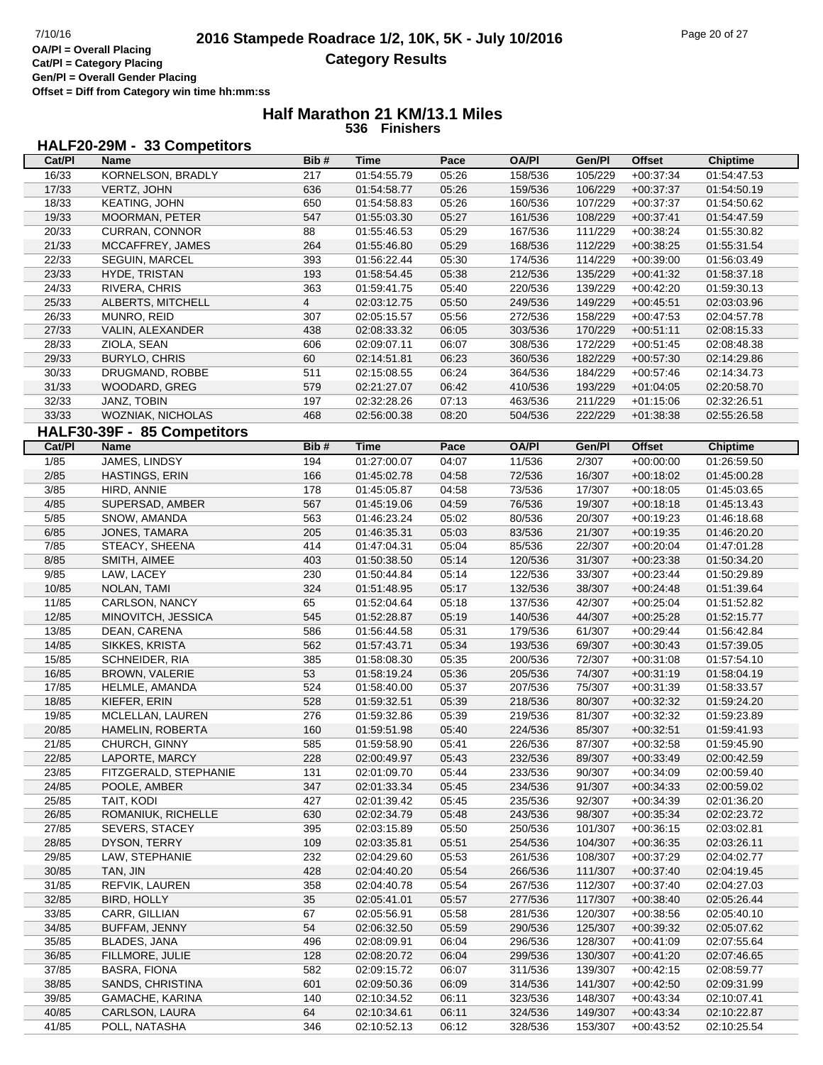**Offset = Diff from Category win time hh:mm:ss**

#### **Half Marathon 21 KM/13.1 Miles 536 Finishers**

#### **HALF20-29M - 33 Competitors**

| Cat/PI         | Name                        | Bib#           | Time                       | Pace  | <b>OA/PI</b>       | Gen/Pl  | <b>Offset</b>              | <b>Chiptime</b> |
|----------------|-----------------------------|----------------|----------------------------|-------|--------------------|---------|----------------------------|-----------------|
| 16/33          | KORNELSON, BRADLY           | 217            | 01:54:55.79                | 05:26 | 158/536            | 105/229 | $+00:37:34$                | 01:54:47.53     |
| 17/33          | VERTZ, JOHN                 | 636            | 01:54:58.77                | 05:26 | 159/536            | 106/229 | $+00:37:37$                | 01:54:50.19     |
| 18/33          | KEATING, JOHN               | 650            | 01:54:58.83                | 05:26 | 160/536            | 107/229 | $+00:37:37$                | 01:54:50.62     |
| 19/33          | MOORMAN, PETER              | 547            | 01:55:03.30                | 05:27 | 161/536            | 108/229 | $+00:37:41$                | 01:54:47.59     |
| 20/33          | <b>CURRAN, CONNOR</b>       | 88             | 01:55:46.53                | 05:29 | 167/536            | 111/229 | $+00:38:24$                | 01:55:30.82     |
| 21/33          | MCCAFFREY, JAMES            | 264            | 01:55:46.80                | 05:29 | 168/536            | 112/229 | $+00:38:25$                | 01:55:31.54     |
| 22/33          | <b>SEGUIN, MARCEL</b>       | 393            | 01:56:22.44                | 05:30 | 174/536            | 114/229 | $+00:39:00$                | 01:56:03.49     |
| 23/33          | HYDE, TRISTAN               | 193            | 01:58:54.45                | 05:38 | 212/536            | 135/229 | $+00:41:32$                | 01:58:37.18     |
| 24/33          | RIVERA, CHRIS               | 363            | 01:59:41.75                | 05:40 | 220/536            | 139/229 | $+00:42:20$                | 01:59:30.13     |
| 25/33          | ALBERTS, MITCHELL           | $\overline{4}$ | 02:03:12.75                | 05:50 | 249/536            | 149/229 | $+00:45:51$                | 02:03:03.96     |
| 26/33          | MUNRO, REID                 | 307            | 02:05:15.57                | 05:56 | 272/536            | 158/229 | $+00:47:53$                | 02:04:57.78     |
| 27/33          | VALIN, ALEXANDER            | 438            | 02:08:33.32                | 06:05 | 303/536            | 170/229 | $+00:51:11$                | 02:08:15.33     |
| 28/33          | ZIOLA, SEAN                 | 606            | 02:09:07.11                | 06:07 | 308/536            | 172/229 | $+00:51:45$                | 02:08:48.38     |
| 29/33          | <b>BURYLO, CHRIS</b>        | 60             | 02:14:51.81                | 06:23 | 360/536            | 182/229 | $+00:57:30$                | 02:14:29.86     |
| 30/33          | DRUGMAND, ROBBE             | 511            |                            | 06:24 |                    |         |                            |                 |
| 31/33          |                             |                | 02:15:08.55                |       | 364/536            | 184/229 | $+00:57:46$                | 02:14:34.73     |
|                | WOODARD, GREG               | 579            | 02:21:27.07                | 06:42 | 410/536            | 193/229 | $+01:04:05$                | 02:20:58.70     |
| 32/33          | JANZ, TOBIN                 | 197            | 02:32:28.26                | 07:13 | 463/536            | 211/229 | $+01:15:06$                | 02:32:26.51     |
| 33/33          | WOZNIAK, NICHOLAS           | 468            | 02:56:00.38                | 08:20 | 504/536            | 222/229 | $+01:38:38$                | 02:55:26.58     |
|                | HALF30-39F - 85 Competitors |                |                            |       |                    |         |                            |                 |
| Cat/PI         | Name                        | Bib#           | <b>Time</b>                | Pace  | <b>OA/PI</b>       | Gen/Pl  | <b>Offset</b>              | <b>Chiptime</b> |
| $\frac{1}{85}$ | JAMES, LINDSY               | 194            | 01:27:00.07                | 04:07 | 11/536             | 2/307   | $+00:00:00$                | 01:26:59.50     |
| 2/85           | HASTINGS, ERIN              | 166            | 01:45:02.78                | 04:58 | 72/536             | 16/307  | $+00:18:02$                | 01:45:00.28     |
| 3/85           | HIRD, ANNIE                 | 178            | 01:45:05.87                | 04:58 | 73/536             | 17/307  | $+00:18:05$                | 01:45:03.65     |
| 4/85           | SUPERSAD, AMBER             | 567            | 01:45:19.06                | 04:59 | 76/536             | 19/307  | $+00:18:18$                | 01:45:13.43     |
| 5/85           | SNOW, AMANDA                | 563            | 01:46:23.24                | 05:02 | 80/536             | 20/307  | $+00:19:23$                | 01:46:18.68     |
| 6/85           | JONES, TAMARA               | 205            | 01:46:35.31                | 05:03 | 83/536             | 21/307  | $+00:19:35$                | 01:46:20.20     |
| 7/85           | STEACY, SHEENA              | 414            | 01:47:04.31                | 05:04 | 85/536             | 22/307  | $+00:20:04$                | 01:47:01.28     |
| 8/85           | SMITH, AIMEE                | 403            | 01:50:38.50                | 05:14 | 120/536            | 31/307  | $+00:23:38$                | 01:50:34.20     |
| 9/85           | LAW, LACEY                  | 230            | 01:50:44.84                | 05:14 | 122/536            | 33/307  | $+00:23:44$                | 01:50:29.89     |
| 10/85          | NOLAN, TAMI                 | 324            | 01:51:48.95                | 05:17 | 132/536            | 38/307  | $+00:24:48$                | 01:51:39.64     |
| 11/85          | CARLSON, NANCY              | 65             | 01:52:04.64                | 05:18 | 137/536            | 42/307  | $+00:25:04$                | 01:51:52.82     |
| 12/85          | MINOVITCH, JESSICA          | 545            | 01:52:28.87                | 05:19 | 140/536            | 44/307  | $+00:25:28$                | 01:52:15.77     |
| 13/85          | DEAN, CARENA                | 586            | 01:56:44.58                | 05:31 | 179/536            | 61/307  | $+00:29:44$                | 01:56:42.84     |
| 14/85          | SIKKES, KRISTA              | 562            | 01:57:43.71                | 05:34 | 193/536            | 69/307  | $+00:30:43$                | 01:57:39.05     |
| 15/85          | SCHNEIDER, RIA              | 385            | 01:58:08.30                | 05:35 | 200/536            | 72/307  | $+00:31:08$                | 01:57:54.10     |
| 16/85          | BROWN, VALERIE              | 53             | 01:58:19.24                | 05:36 | 205/536            | 74/307  | $+00:31:19$                | 01:58:04.19     |
| 17/85          | HELMLE, AMANDA              | 524            | 01:58:40.00                | 05:37 | 207/536            | 75/307  | $+00:31:39$                | 01:58:33.57     |
| 18/85          | KIEFER, ERIN                | 528            | 01:59:32.51                | 05:39 | 218/536            | 80/307  | $+00:32:32$                | 01:59:24.20     |
| 19/85          | MCLELLAN, LAUREN            | 276            | 01:59:32.86                | 05:39 | 219/536            | 81/307  | $+00:32:32$                | 01:59:23.89     |
| 20/85          | HAMELIN, ROBERTA            | 160            | 01:59:51.98                | 05:40 | 224/536            | 85/307  | $+00:32:51$                | 01:59:41.93     |
| 21/85          | CHURCH, GINNY               | 585            | 01:59:58.90                | 05:41 | 226/536            | 87/307  | $+00:32:58$                | 01:59:45.90     |
| 22/85          | LAPORTE, MARCY              | 228            | 02:00:49.97                | 05:43 | 232/536            | 89/307  | $+00:33:49$                | 02:00:42.59     |
| 23/85          | FITZGERALD, STEPHANIE       | 131            | 02:01:09.70                | 05:44 | 233/536            | 90/307  | $+00:34:09$                | 02:00:59.40     |
| 24/85          | POOLE, AMBER                | 347            | 02:01:33.34                | 05:45 | 234/536            | 91/307  | $+00:34:33$                | 02:00:59.02     |
| 25/85          | TAIT, KODI                  | 427            |                            | 05:45 |                    | 92/307  |                            | 02:01:36.20     |
| 26/85          | ROMANIUK, RICHELLE          | 630            | 02:01:39.42<br>02:02:34.79 | 05:48 | 235/536<br>243/536 | 98/307  | $+00:34:39$<br>$+00:35:34$ | 02:02:23.72     |
|                | <b>SEVERS, STACEY</b>       |                |                            |       |                    |         |                            |                 |
| 27/85          |                             | 395            | 02:03:15.89                | 05:50 | 250/536            | 101/307 | $+00:36:15$                | 02:03:02.81     |
| 28/85          | DYSON, TERRY                | 109            | 02:03:35.81                | 05:51 | 254/536            | 104/307 | $+00:36:35$                | 02:03:26.11     |
| 29/85          | LAW, STEPHANIE              | 232            | 02:04:29.60                | 05:53 | 261/536            | 108/307 | $+00:37:29$                | 02:04:02.77     |
| 30/85          | TAN, JIN                    | 428            | 02:04:40.20                | 05:54 | 266/536            | 111/307 | $+00:37:40$                | 02:04:19.45     |
| 31/85          | <b>REFVIK, LAUREN</b>       | 358            | 02:04:40.78                | 05:54 | 267/536            | 112/307 | $+00:37:40$                | 02:04:27.03     |
| 32/85          | <b>BIRD, HOLLY</b>          | 35             | 02:05:41.01                | 05:57 | 277/536            | 117/307 | $+00:38:40$                | 02:05:26.44     |
| 33/85          | CARR, GILLIAN               | 67             | 02:05:56.91                | 05:58 | 281/536            | 120/307 | $+00:38:56$                | 02:05:40.10     |
| 34/85          | BUFFAM, JENNY               | 54             | 02:06:32.50                | 05:59 | 290/536            | 125/307 | $+00:39:32$                | 02:05:07.62     |
| 35/85          | BLADES, JANA                | 496            | 02:08:09.91                | 06:04 | 296/536            | 128/307 | $+00:41:09$                | 02:07:55.64     |
| 36/85          | FILLMORE, JULIE             | 128            | 02:08:20.72                | 06:04 | 299/536            | 130/307 | $+00:41:20$                | 02:07:46.65     |
| 37/85          | <b>BASRA, FIONA</b>         | 582            | 02:09:15.72                | 06:07 | 311/536            | 139/307 | $+00:42:15$                | 02:08:59.77     |
| 38/85          | SANDS, CHRISTINA            | 601            | 02:09:50.36                | 06:09 | 314/536            | 141/307 | $+00:42:50$                | 02:09:31.99     |
| 39/85          | GAMACHE, KARINA             | 140            | 02:10:34.52                | 06:11 | 323/536            | 148/307 | $+00:43:34$                | 02:10:07.41     |
| 40/85          | CARLSON, LAURA              | 64             | 02:10:34.61                | 06:11 | 324/536            | 149/307 | $+00:43:34$                | 02:10:22.87     |
| 41/85          | POLL, NATASHA               | 346            | 02:10:52.13                | 06:12 | 328/536            | 153/307 | $+00:43:52$                | 02:10:25.54     |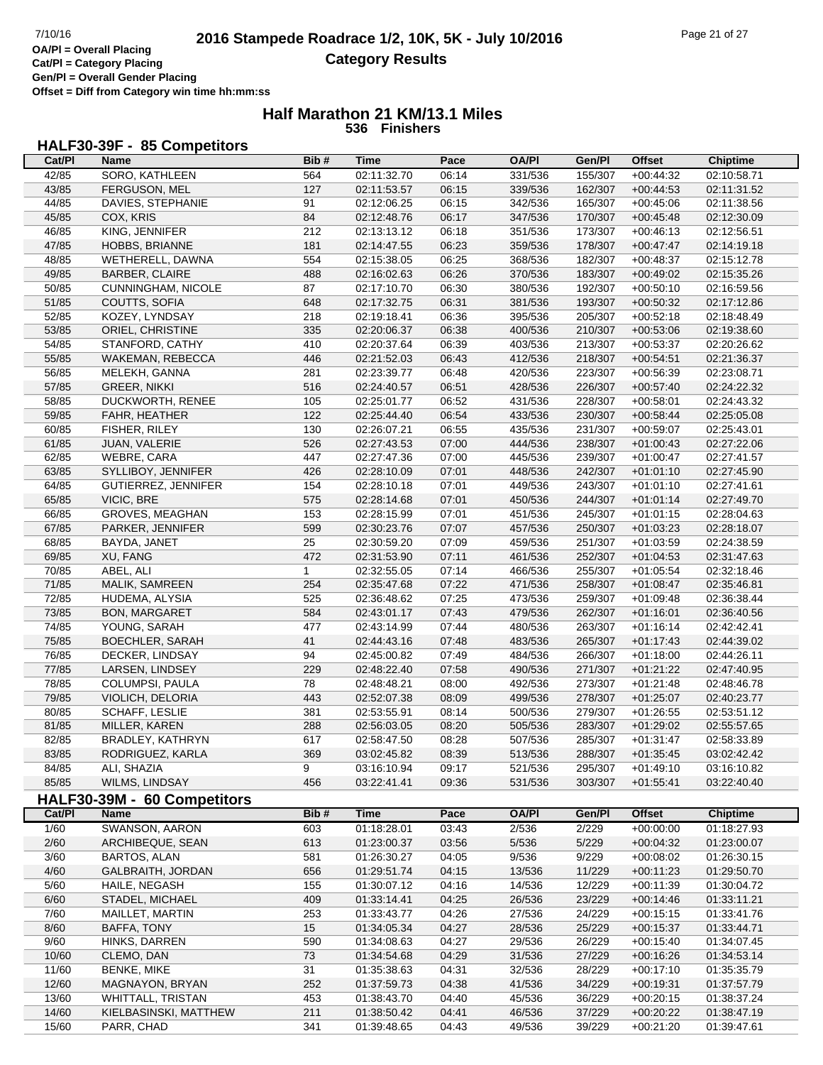**Offset = Diff from Category win time hh:mm:ss**

#### **Half Marathon 21 KM/13.1 Miles 536 Finishers**

## **HALF30-39F - 85 Competitors**

| Cat/Pl | Name                                     | Bib#         | Time        | Pace  | <b>OA/PI</b> | Gen/Pl         | <b>Offset</b> | <b>Chiptime</b> |
|--------|------------------------------------------|--------------|-------------|-------|--------------|----------------|---------------|-----------------|
| 42/85  | SORO, KATHLEEN                           | 564          | 02:11:32.70 | 06:14 | 331/536      | 155/307        | $+00:44:32$   | 02:10:58.71     |
| 43/85  | FERGUSON, MEL                            | 127          | 02:11:53.57 | 06:15 | 339/536      | 162/307        | $+00:44:53$   | 02:11:31.52     |
| 44/85  | DAVIES, STEPHANIE                        | 91           | 02:12:06.25 | 06:15 | 342/536      | 165/307        | $+00:45:06$   | 02:11:38.56     |
| 45/85  | COX, KRIS                                | 84           | 02:12:48.76 | 06:17 | 347/536      | 170/307        | $+00:45:48$   | 02:12:30.09     |
| 46/85  | KING, JENNIFER                           | 212          | 02:13:13.12 | 06:18 | 351/536      | 173/307        | $+00:46:13$   | 02:12:56.51     |
| 47/85  | HOBBS, BRIANNE                           | 181          | 02:14:47.55 | 06:23 | 359/536      | 178/307        | $+00:47:47$   | 02:14:19.18     |
| 48/85  | WETHERELL, DAWNA                         | 554          | 02:15:38.05 | 06:25 | 368/536      | 182/307        | $+00:48:37$   | 02:15:12.78     |
| 49/85  | <b>BARBER, CLAIRE</b>                    | 488          | 02:16:02.63 | 06:26 | 370/536      | 183/307        | $+00:49:02$   | 02:15:35.26     |
| 50/85  | CUNNINGHAM, NICOLE                       | 87           | 02:17:10.70 | 06:30 | 380/536      | 192/307        | $+00:50:10$   | 02:16:59.56     |
| 51/85  | COUTTS, SOFIA                            | 648          | 02:17:32.75 | 06:31 | 381/536      | 193/307        | $+00:50:32$   | 02:17:12.86     |
| 52/85  | KOZEY, LYNDSAY                           | 218          | 02:19:18.41 | 06:36 | 395/536      | 205/307        | $+00:52:18$   | 02:18:48.49     |
| 53/85  | ORIEL, CHRISTINE                         | 335          | 02:20:06.37 | 06:38 | 400/536      | 210/307        | $+00:53:06$   | 02:19:38.60     |
| 54/85  | STANFORD, CATHY                          | 410          | 02:20:37.64 | 06:39 | 403/536      | 213/307        | $+00:53:37$   | 02:20:26.62     |
| 55/85  | WAKEMAN, REBECCA                         | 446          | 02:21:52.03 | 06:43 | 412/536      | 218/307        | $+00:54:51$   | 02:21:36.37     |
| 56/85  |                                          |              |             |       |              |                |               |                 |
|        | MELEKH, GANNA                            | 281          | 02:23:39.77 | 06:48 | 420/536      | 223/307        | $+00:56:39$   | 02:23:08.71     |
| 57/85  | <b>GREER, NIKKI</b>                      | 516          | 02:24:40.57 | 06:51 | 428/536      | 226/307        | $+00:57:40$   | 02:24:22.32     |
| 58/85  | DUCKWORTH, RENEE                         | 105          | 02:25:01.77 | 06:52 | 431/536      | 228/307        | $+00:58:01$   | 02:24:43.32     |
| 59/85  | FAHR, HEATHER                            | 122          | 02:25:44.40 | 06:54 | 433/536      | 230/307        | $+00:58:44$   | 02:25:05.08     |
| 60/85  | FISHER, RILEY                            | 130          | 02:26:07.21 | 06:55 | 435/536      | 231/307        | $+00:59:07$   | 02:25:43.01     |
| 61/85  | JUAN, VALERIE                            | 526          | 02:27:43.53 | 07:00 | 444/536      | 238/307        | $+01:00:43$   | 02:27:22.06     |
| 62/85  | WEBRE, CARA                              | 447          | 02:27:47.36 | 07:00 | 445/536      | 239/307        | $+01:00:47$   | 02:27:41.57     |
| 63/85  | SYLLIBOY, JENNIFER                       | 426          | 02:28:10.09 | 07:01 | 448/536      | 242/307        | $+01:01:10$   | 02:27:45.90     |
| 64/85  | GUTIERREZ, JENNIFER                      | 154          | 02:28:10.18 | 07:01 | 449/536      | 243/307        | $+01:01:10$   | 02:27:41.61     |
| 65/85  | VICIC, BRE                               | 575          | 02:28:14.68 | 07:01 | 450/536      | 244/307        | $+01:01:14$   | 02:27:49.70     |
| 66/85  | GROVES, MEAGHAN                          | 153          | 02:28:15.99 | 07:01 | 451/536      | 245/307        | $+01:01:15$   | 02:28:04.63     |
| 67/85  | PARKER, JENNIFER                         | 599          | 02:30:23.76 | 07:07 | 457/536      | 250/307        | $+01:03:23$   | 02:28:18.07     |
| 68/85  | BAYDA, JANET                             | 25           | 02:30:59.20 | 07:09 | 459/536      | 251/307        | $+01:03:59$   | 02:24:38.59     |
| 69/85  | XU, FANG                                 | 472          | 02:31:53.90 | 07:11 | 461/536      | 252/307        | $+01:04:53$   | 02:31:47.63     |
| 70/85  | ABEL, ALI                                | $\mathbf{1}$ | 02:32:55.05 | 07:14 | 466/536      | 255/307        | $+01:05:54$   | 02:32:18.46     |
| 71/85  | MALIK, SAMREEN                           | 254          | 02:35:47.68 | 07:22 | 471/536      | 258/307        | $+01:08:47$   | 02:35:46.81     |
| 72/85  | HUDEMA, ALYSIA                           | 525          | 02:36:48.62 | 07:25 | 473/536      | 259/307        | $+01:09:48$   | 02:36:38.44     |
| 73/85  | <b>BON, MARGARET</b>                     | 584          | 02:43:01.17 | 07:43 | 479/536      | 262/307        | $+01:16:01$   | 02:36:40.56     |
| 74/85  | YOUNG, SARAH                             | 477          | 02:43:14.99 | 07:44 | 480/536      | 263/307        | $+01:16:14$   | 02:42:42.41     |
| 75/85  | <b>BOECHLER, SARAH</b>                   | 41           | 02:44:43.16 | 07:48 | 483/536      | 265/307        | $+01:17:43$   | 02:44:39.02     |
| 76/85  | DECKER, LINDSAY                          | 94           | 02:45:00.82 | 07:49 | 484/536      | 266/307        | $+01:18:00$   | 02:44:26.11     |
| 77/85  | LARSEN, LINDSEY                          | 229          | 02:48:22.40 | 07:58 | 490/536      | 271/307        | $+01:21:22$   | 02:47:40.95     |
| 78/85  | COLUMPSI, PAULA                          | 78           | 02:48:48.21 | 08:00 | 492/536      | 273/307        | $+01:21:48$   | 02:48:46.78     |
| 79/85  | VIOLICH, DELORIA                         | 443          | 02:52:07.38 | 08:09 | 499/536      | 278/307        | $+01:25:07$   | 02:40:23.77     |
| 80/85  | SCHAFF, LESLIE                           | 381          | 02:53:55.91 | 08:14 | 500/536      | 279/307        | $+01:26:55$   | 02:53:51.12     |
| 81/85  | MILLER, KAREN                            | 288          | 02:56:03.05 | 08:20 | 505/536      | 283/307        | $+01:29:02$   | 02:55:57.65     |
| 82/85  | BRADLEY, KATHRYN                         | 617          | 02:58:47.50 | 08:28 | 507/536      | 285/307        | $+01:31:47$   | 02:58:33.89     |
| 83/85  | RODRIGUEZ, KARLA                         | 369          | 03:02:45.82 | 08:39 | 513/536      | 288/307        | $+01:35:45$   | 03:02:42.42     |
| 84/85  | ALI, SHAZIA                              | 9            | 03:16:10.94 | 09:17 | 521/536      | 295/307        | $+01:49:10$   | 03:16:10.82     |
| 85/85  | WILMS, LINDSAY                           | 456          | 03:22:41.41 | 09:36 | 531/536      | 303/307        | $+01:55:41$   | 03:22:40.40     |
|        | HALF30-39M - 60 Competitors              |              |             |       |              |                |               |                 |
| Cat/PI | <b>Name</b>                              | Bib#         | <b>Time</b> | Pace  | <b>OA/PI</b> | Gen/Pl         | <b>Offset</b> | <b>Chiptime</b> |
| 1/60   | SWANSON, AARON                           | 603          | 01:18:28.01 | 03:43 | 2/536        |                | $+00:00:00$   | 01:18:27.93     |
| 2/60   | ARCHIBEQUE, SEAN                         | 613          | 01:23:00.37 | 03:56 | 5/536        | 2/229<br>5/229 |               | 01:23:00.07     |
|        |                                          |              |             |       |              |                | $+00:04:32$   |                 |
| 3/60   | <b>BARTOS, ALAN</b><br>GALBRAITH, JORDAN | 581          | 01:26:30.27 | 04:05 | 9/536        | 9/229          | $+00:08:02$   | 01:26:30.15     |
| 4/60   |                                          | 656          | 01:29:51.74 | 04:15 | 13/536       | 11/229         | $+00:11:23$   | 01:29:50.70     |
| $5/60$ | HAILE, NEGASH                            | 155          | 01:30:07.12 | 04:16 | 14/536       | 12/229         | $+00:11:39$   | 01:30:04.72     |
| 6/60   | STADEL, MICHAEL                          | 409          | 01:33:14.41 | 04:25 | 26/536       | 23/229         | $+00:14:46$   | 01:33:11.21     |
| 7/60   | MAILLET, MARTIN                          | 253          | 01:33:43.77 | 04:26 | 27/536       | 24/229         | $+00:15:15$   | 01:33:41.76     |
| 8/60   | BAFFA, TONY                              | 15           | 01:34:05.34 | 04:27 | 28/536       | 25/229         | $+00:15:37$   | 01:33:44.71     |
| 9/60   | HINKS, DARREN                            | 590          | 01:34:08.63 | 04:27 | 29/536       | 26/229         | $+00:15:40$   | 01:34:07.45     |
| 10/60  | CLEMO, DAN                               | 73           | 01:34:54.68 | 04:29 | 31/536       | 27/229         | $+00:16:26$   | 01:34:53.14     |
| 11/60  | <b>BENKE, MIKE</b>                       | 31           | 01:35:38.63 | 04:31 | 32/536       | 28/229         | $+00:17:10$   | 01:35:35.79     |
| 12/60  | MAGNAYON, BRYAN                          | 252          | 01:37:59.73 | 04:38 | 41/536       | 34/229         | $+00:19:31$   | 01:37:57.79     |
| 13/60  | <b>WHITTALL, TRISTAN</b>                 | 453          | 01:38:43.70 | 04:40 | 45/536       | 36/229         | $+00:20:15$   | 01:38:37.24     |
| 14/60  | KIELBASINSKI, MATTHEW                    | 211          | 01:38:50.42 | 04:41 | 46/536       | 37/229         | $+00:20:22$   | 01:38:47.19     |
| 15/60  | PARR, CHAD                               | 341          | 01:39:48.65 | 04:43 | 49/536       | 39/229         | $+00:21:20$   | 01:39:47.61     |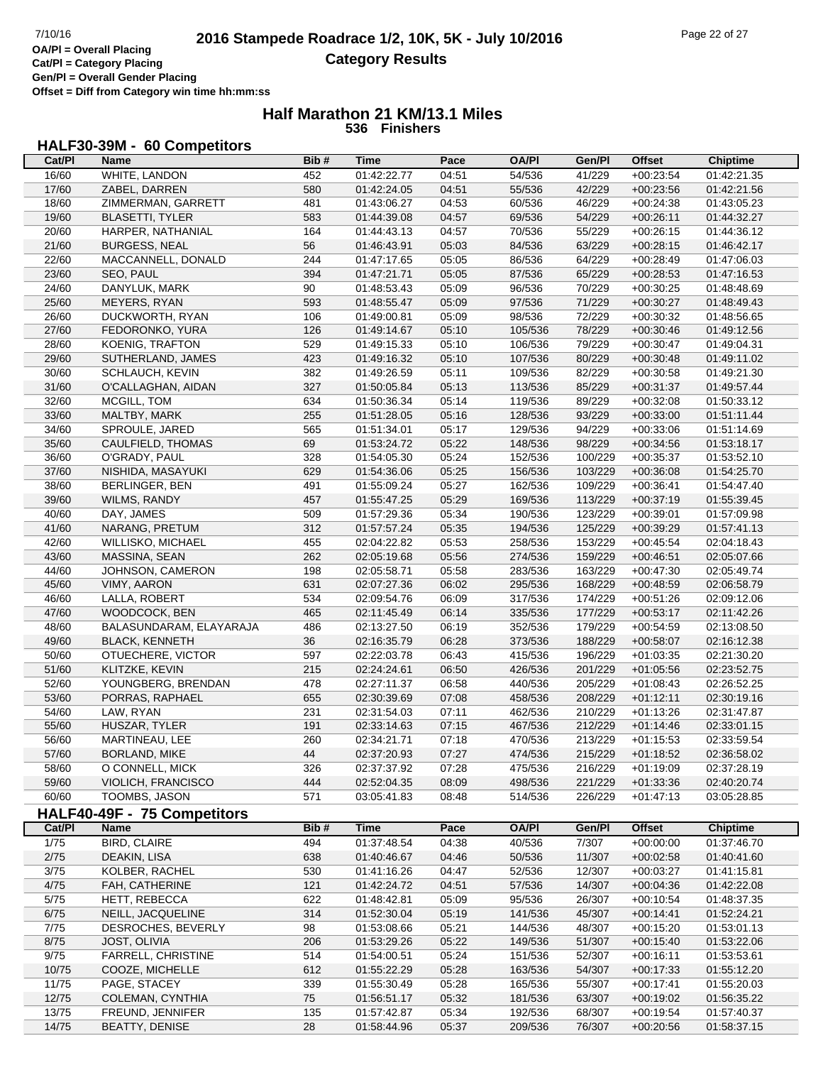**Offset = Diff from Category win time hh:mm:ss**

#### **Half Marathon 21 KM/13.1 Miles 536 Finishers**

# **HALF30-39M - 60 Competitors**

| Cat/PI | Name                        | Bib# | Time        | Pace  | OA/PI        | Gen/Pl  | <b>Offset</b> | <b>Chiptime</b> |
|--------|-----------------------------|------|-------------|-------|--------------|---------|---------------|-----------------|
| 16/60  | WHITE, LANDON               | 452  | 01:42:22.77 | 04:51 | 54/536       | 41/229  | $+00:23:54$   | 01:42:21.35     |
| 17/60  | ZABEL, DARREN               | 580  | 01:42:24.05 | 04:51 | 55/536       | 42/229  | $+00:23:56$   | 01:42:21.56     |
| 18/60  | ZIMMERMAN, GARRETT          | 481  | 01:43:06.27 | 04:53 | 60/536       | 46/229  | $+00:24:38$   | 01:43:05.23     |
| 19/60  | <b>BLASETTI, TYLER</b>      | 583  | 01:44:39.08 | 04:57 | 69/536       | 54/229  | $+00:26:11$   | 01:44:32.27     |
| 20/60  | HARPER, NATHANIAL           | 164  | 01:44:43.13 | 04:57 | 70/536       | 55/229  | $+00:26:15$   | 01:44:36.12     |
| 21/60  | <b>BURGESS, NEAL</b>        | 56   | 01:46:43.91 | 05:03 | 84/536       | 63/229  | $+00:28:15$   | 01:46:42.17     |
| 22/60  | MACCANNELL, DONALD          | 244  | 01:47:17.65 | 05:05 | 86/536       | 64/229  | $+00:28:49$   | 01:47:06.03     |
| 23/60  | SEO, PAUL                   | 394  | 01:47:21.71 | 05:05 | 87/536       | 65/229  | $+00:28:53$   | 01:47:16.53     |
| 24/60  | DANYLUK, MARK               | 90   | 01:48:53.43 | 05:09 | 96/536       | 70/229  | $+00:30:25$   | 01:48:48.69     |
| 25/60  | MEYERS, RYAN                | 593  | 01:48:55.47 | 05:09 | 97/536       | 71/229  | $+00:30:27$   | 01:48:49.43     |
| 26/60  | <b>DUCKWORTH, RYAN</b>      | 106  | 01:49:00.81 | 05:09 | 98/536       | 72/229  | $+00:30:32$   | 01:48:56.65     |
| 27/60  | FEDORONKO, YURA             | 126  | 01:49:14.67 | 05:10 | 105/536      | 78/229  | $+00:30:46$   | 01:49:12.56     |
| 28/60  | KOENIG, TRAFTON             | 529  | 01:49:15.33 | 05:10 | 106/536      | 79/229  | $+00:30:47$   | 01:49:04.31     |
| 29/60  | SUTHERLAND, JAMES           | 423  | 01:49:16.32 | 05:10 | 107/536      | 80/229  | $+00:30:48$   | 01:49:11.02     |
| 30/60  | SCHLAUCH, KEVIN             | 382  | 01:49:26.59 | 05:11 | 109/536      | 82/229  | $+00:30:58$   | 01:49:21.30     |
| 31/60  | O'CALLAGHAN, AIDAN          | 327  | 01:50:05.84 | 05:13 | 113/536      | 85/229  | $+00:31:37$   | 01:49:57.44     |
| 32/60  | MCGILL, TOM                 | 634  | 01:50:36.34 | 05:14 | 119/536      | 89/229  | $+00:32:08$   | 01:50:33.12     |
| 33/60  | MALTBY, MARK                | 255  | 01:51:28.05 | 05:16 | 128/536      | 93/229  | $+00:33:00$   | 01:51:11.44     |
| 34/60  | SPROULE, JARED              | 565  | 01:51:34.01 | 05:17 | 129/536      | 94/229  | $+00:33:06$   | 01:51:14.69     |
| 35/60  | CAULFIELD, THOMAS           | 69   | 01:53:24.72 | 05:22 | 148/536      | 98/229  | $+00:34:56$   | 01:53:18.17     |
| 36/60  | O'GRADY, PAUL               | 328  | 01:54:05.30 | 05:24 | 152/536      | 100/229 | $+00:35:37$   | 01:53:52.10     |
| 37/60  | NISHIDA, MASAYUKI           | 629  | 01:54:36.06 | 05:25 | 156/536      | 103/229 | $+00:36:08$   | 01:54:25.70     |
| 38/60  | <b>BERLINGER, BEN</b>       | 491  | 01:55:09.24 | 05:27 | 162/536      | 109/229 | $+00:36:41$   | 01:54:47.40     |
| 39/60  | WILMS, RANDY                | 457  | 01:55:47.25 | 05:29 | 169/536      | 113/229 | $+00:37:19$   | 01:55:39.45     |
| 40/60  | DAY, JAMES                  | 509  | 01:57:29.36 | 05:34 | 190/536      | 123/229 | $+00:39:01$   | 01:57:09.98     |
|        |                             |      |             |       |              |         |               |                 |
| 41/60  | NARANG, PRETUM              | 312  | 01:57:57.24 | 05:35 | 194/536      | 125/229 | $+00:39:29$   | 01:57:41.13     |
| 42/60  | WILLISKO, MICHAEL           | 455  | 02:04:22.82 | 05:53 | 258/536      | 153/229 | $+00:45:54$   | 02:04:18.43     |
| 43/60  | MASSINA, SEAN               | 262  | 02:05:19.68 | 05:56 | 274/536      | 159/229 | $+00:46:51$   | 02:05:07.66     |
| 44/60  | JOHNSON, CAMERON            | 198  | 02:05:58.71 | 05:58 | 283/536      | 163/229 | $+00:47:30$   | 02:05:49.74     |
| 45/60  | VIMY, AARON                 | 631  | 02:07:27.36 | 06:02 | 295/536      | 168/229 | $+00:48:59$   | 02:06:58.79     |
| 46/60  | LALLA, ROBERT               | 534  | 02:09:54.76 | 06:09 | 317/536      | 174/229 | $+00:51:26$   | 02:09:12.06     |
| 47/60  | WOODCOCK, BEN               | 465  | 02:11:45.49 | 06:14 | 335/536      | 177/229 | $+00:53:17$   | 02:11:42.26     |
| 48/60  | BALASUNDARAM, ELAYARAJA     | 486  | 02:13:27.50 | 06:19 | 352/536      | 179/229 | $+00:54:59$   | 02:13:08.50     |
| 49/60  | <b>BLACK, KENNETH</b>       | 36   | 02:16:35.79 | 06:28 | 373/536      | 188/229 | $+00:58:07$   | 02:16:12.38     |
| 50/60  | OTUECHERE, VICTOR           | 597  | 02:22:03.78 | 06:43 | 415/536      | 196/229 | $+01:03:35$   | 02:21:30.20     |
| 51/60  | KLITZKE, KEVIN              | 215  | 02:24:24.61 | 06:50 | 426/536      | 201/229 | $+01:05:56$   | 02:23:52.75     |
| 52/60  | YOUNGBERG, BRENDAN          | 478  | 02:27:11.37 | 06:58 | 440/536      | 205/229 | $+01:08:43$   | 02:26:52.25     |
| 53/60  | PORRAS, RAPHAEL             | 655  | 02:30:39.69 | 07:08 | 458/536      | 208/229 | $+01:12:11$   | 02:30:19.16     |
| 54/60  | LAW, RYAN                   | 231  | 02:31:54.03 | 07:11 | 462/536      | 210/229 | $+01:13:26$   | 02:31:47.87     |
| 55/60  | HUSZAR, TYLER               | 191  | 02:33:14.63 | 07:15 | 467/536      | 212/229 | $+01:14:46$   | 02:33:01.15     |
| 56/60  | MARTINEAU, LEE              | 260  | 02:34:21.71 | 07:18 | 470/536      | 213/229 | $+01:15:53$   | 02:33:59.54     |
| 57/60  | <b>BORLAND, MIKE</b>        | 44   | 02:37:20.93 | 07:27 | 474/536      | 215/229 | $+01:18:52$   | 02:36:58.02     |
| 58/60  | O CONNELL, MICK             | 326  | 02:37:37.92 | 07:28 | 475/536      | 216/229 | $+01:19:09$   | 02:37:28.19     |
| 59/60  | <b>VIOLICH, FRANCISCO</b>   | 444  | 02:52:04.35 | 08:09 | 498/536      | 221/229 | $+01:33:36$   | 02:40:20.74     |
| 60/60  | TOOMBS, JASON               | 571  | 03:05:41.83 | 08:48 | 514/536      | 226/229 | $+01:47:13$   | 03:05:28.85     |
|        | HALF40-49F - 75 Competitors |      |             |       |              |         |               |                 |
| Cat/PI | <b>Name</b>                 | Bib# | <b>Time</b> | Pace  | <b>OA/PI</b> | Gen/Pl  | <b>Offset</b> | <b>Chiptime</b> |
| 1/75   | <b>BIRD, CLAIRE</b>         | 494  | 01:37:48.54 | 04:38 | 40/536       | 7/307   | $+00:00:00$   | 01:37:46.70     |
| 2/75   | DEAKIN, LISA                | 638  | 01:40:46.67 | 04:46 | 50/536       | 11/307  | $+00:02:58$   | 01:40:41.60     |
| $3/75$ | KOLBER, RACHEL              | 530  | 01:41:16.26 | 04:47 | 52/536       | 12/307  | $+00:03:27$   | 01:41:15.81     |
| 4/75   | FAH, CATHERINE              | 121  | 01:42:24.72 | 04:51 | 57/536       | 14/307  | $+00:04:36$   | 01:42:22.08     |
| $5/75$ | HETT, REBECCA               | 622  | 01:48:42.81 | 05:09 | 95/536       | 26/307  | $+00:10:54$   | 01:48:37.35     |
| 6/75   | NEILL, JACQUELINE           | 314  | 01:52:30.04 | 05:19 | 141/536      | 45/307  | $+00:14:41$   | 01:52:24.21     |
| $7/75$ | DESROCHES, BEVERLY          | 98   | 01:53:08.66 | 05:21 | 144/536      | 48/307  | $+00:15:20$   | 01:53:01.13     |
| 8/75   | JOST, OLIVIA                | 206  | 01:53:29.26 | 05:22 | 149/536      | 51/307  | $+00:15:40$   | 01:53:22.06     |
| 9/75   | <b>FARRELL, CHRISTINE</b>   | 514  | 01:54:00.51 | 05:24 | 151/536      | 52/307  | $+00:16:11$   | 01:53:53.61     |
| 10/75  | COOZE, MICHELLE             | 612  | 01:55:22.29 | 05:28 | 163/536      | 54/307  | $+00:17:33$   | 01:55:12.20     |
| 11/75  | PAGE, STACEY                | 339  | 01:55:30.49 | 05:28 | 165/536      | 55/307  | $+00:17:41$   | 01:55:20.03     |
| 12/75  | COLEMAN, CYNTHIA            | 75   | 01:56:51.17 | 05:32 | 181/536      | 63/307  | $+00:19:02$   | 01:56:35.22     |
| 13/75  | FREUND, JENNIFER            | 135  | 01:57:42.87 | 05:34 | 192/536      | 68/307  | $+00:19:54$   | 01:57:40.37     |
| 14/75  | <b>BEATTY, DENISE</b>       | 28   | 01:58:44.96 | 05:37 | 209/536      | 76/307  | $+00:20:56$   | 01:58:37.15     |
|        |                             |      |             |       |              |         |               |                 |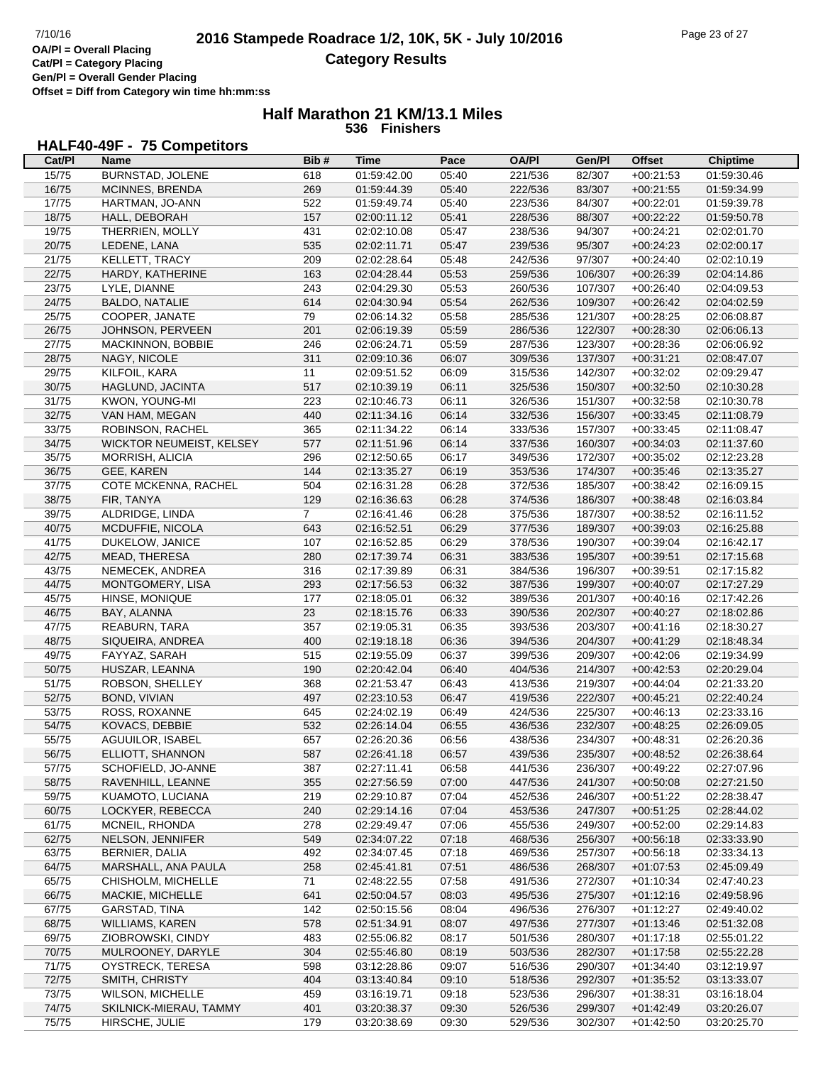**Offset = Diff from Category win time hh:mm:ss**

#### **Half Marathon 21 KM/13.1 Miles 536 Finishers**

# **HALF40-49F - 75 Competitors**

| Cat/PI | Name                            | Bib#           | Time        | Pace  | <b>OA/PI</b> | Gen/Pl  | <b>Offset</b> | <b>Chiptime</b> |
|--------|---------------------------------|----------------|-------------|-------|--------------|---------|---------------|-----------------|
| 15/75  | <b>BURNSTAD, JOLENE</b>         | 618            | 01:59:42.00 | 05:40 | 221/536      | 82/307  | $+00:21:53$   | 01:59:30.46     |
| 16/75  | MCINNES, BRENDA                 | 269            | 01:59:44.39 | 05:40 | 222/536      | 83/307  | $+00:21:55$   | 01:59:34.99     |
| 17/75  | HARTMAN, JO-ANN                 | 522            | 01:59:49.74 | 05:40 | 223/536      | 84/307  | $+00:22:01$   | 01:59:39.78     |
| 18/75  | HALL, DEBORAH                   | 157            | 02:00:11.12 | 05:41 | 228/536      | 88/307  | $+00:22:22$   | 01:59:50.78     |
| 19/75  | THERRIEN, MOLLY                 | 431            | 02:02:10.08 | 05:47 | 238/536      | 94/307  | $+00:24:21$   | 02:02:01.70     |
|        |                                 |                |             |       |              |         |               |                 |
| 20/75  | LEDENE, LANA                    | 535            | 02:02:11.71 | 05:47 | 239/536      | 95/307  | $+00:24:23$   | 02:02:00.17     |
| 21/75  | KELLETT, TRACY                  | 209            | 02:02:28.64 | 05:48 | 242/536      | 97/307  | $+00:24:40$   | 02:02:10.19     |
| 22/75  | HARDY, KATHERINE                | 163            | 02:04:28.44 | 05:53 | 259/536      | 106/307 | $+00:26:39$   | 02:04:14.86     |
| 23/75  | LYLE, DIANNE                    | 243            | 02:04:29.30 | 05:53 | 260/536      | 107/307 | $+00:26:40$   | 02:04:09.53     |
| 24/75  | <b>BALDO, NATALIE</b>           | 614            | 02:04:30.94 | 05:54 | 262/536      | 109/307 | $+00:26:42$   | 02:04:02.59     |
| 25/75  | COOPER, JANATE                  | 79             | 02:06:14.32 | 05:58 | 285/536      | 121/307 | $+00:28:25$   | 02:06:08.87     |
| 26/75  | JOHNSON, PERVEEN                | 201            | 02:06:19.39 | 05:59 | 286/536      | 122/307 | $+00:28:30$   | 02:06:06.13     |
| 27/75  | MACKINNON, BOBBIE               | 246            | 02:06:24.71 | 05:59 | 287/536      | 123/307 | $+00:28:36$   | 02:06:06.92     |
| 28/75  | NAGY, NICOLE                    | 311            | 02:09:10.36 | 06:07 | 309/536      | 137/307 | $+00:31:21$   | 02:08:47.07     |
| 29/75  | KILFOIL, KARA                   | 11             | 02:09:51.52 | 06:09 | 315/536      | 142/307 | $+00:32:02$   | 02:09:29.47     |
| 30/75  | HAGLUND, JACINTA                | 517            | 02:10:39.19 | 06:11 | 325/536      | 150/307 | $+00:32:50$   | 02:10:30.28     |
| 31/75  | KWON, YOUNG-MI                  | 223            | 02:10:46.73 | 06:11 | 326/536      | 151/307 | $+00:32:58$   | 02:10:30.78     |
| 32/75  | VAN HAM, MEGAN                  | 440            | 02:11:34.16 | 06:14 | 332/536      | 156/307 | $+00:33:45$   | 02:11:08.79     |
| 33/75  | ROBINSON, RACHEL                | 365            | 02:11:34.22 | 06:14 | 333/536      | 157/307 | $+00:33:45$   | 02:11:08.47     |
| 34/75  | <b>WICKTOR NEUMEIST, KELSEY</b> | 577            | 02:11:51.96 | 06:14 | 337/536      | 160/307 | $+00:34:03$   | 02:11:37.60     |
| 35/75  |                                 | 296            |             |       |              | 172/307 |               |                 |
|        | MORRISH, ALICIA                 |                | 02:12:50.65 | 06:17 | 349/536      |         | $+00:35:02$   | 02:12:23.28     |
| 36/75  | GEE, KAREN                      | 144            | 02:13:35.27 | 06:19 | 353/536      | 174/307 | $+00:35:46$   | 02:13:35.27     |
| 37/75  | COTE MCKENNA, RACHEL            | 504            | 02:16:31.28 | 06:28 | 372/536      | 185/307 | $+00:38:42$   | 02:16:09.15     |
| 38/75  | FIR, TANYA                      | 129            | 02:16:36.63 | 06:28 | 374/536      | 186/307 | $+00:38:48$   | 02:16:03.84     |
| 39/75  | ALDRIDGE, LINDA                 | $\overline{7}$ | 02:16:41.46 | 06:28 | 375/536      | 187/307 | $+00:38:52$   | 02:16:11.52     |
| 40/75  | MCDUFFIE, NICOLA                | 643            | 02:16:52.51 | 06:29 | 377/536      | 189/307 | $+00:39:03$   | 02:16:25.88     |
| 41/75  | DUKELOW, JANICE                 | 107            | 02:16:52.85 | 06:29 | 378/536      | 190/307 | $+00:39:04$   | 02:16:42.17     |
| 42/75  | MEAD, THERESA                   | 280            | 02:17:39.74 | 06:31 | 383/536      | 195/307 | $+00:39:51$   | 02:17:15.68     |
| 43/75  | NEMECEK, ANDREA                 | 316            | 02:17:39.89 | 06:31 | 384/536      | 196/307 | $+00:39:51$   | 02:17:15.82     |
| 44/75  | MONTGOMERY, LISA                | 293            | 02:17:56.53 | 06:32 | 387/536      | 199/307 | $+00:40:07$   | 02:17:27.29     |
| 45/75  | HINSE, MONIQUE                  | 177            | 02:18:05.01 | 06:32 | 389/536      | 201/307 | $+00:40:16$   | 02:17:42.26     |
| 46/75  | BAY, ALANNA                     | 23             | 02:18:15.76 | 06:33 | 390/536      | 202/307 | $+00:40:27$   | 02:18:02.86     |
| 47/75  | REABURN, TARA                   | 357            | 02:19:05.31 | 06:35 | 393/536      | 203/307 | $+00:41:16$   | 02:18:30.27     |
| 48/75  | SIQUEIRA, ANDREA                | 400            | 02:19:18.18 | 06:36 | 394/536      | 204/307 | $+00:41:29$   | 02:18:48.34     |
| 49/75  | FAYYAZ, SARAH                   | 515            | 02:19:55.09 | 06:37 | 399/536      | 209/307 | $+00:42:06$   | 02:19:34.99     |
| 50/75  | HUSZAR, LEANNA                  | 190            | 02:20:42.04 | 06:40 | 404/536      | 214/307 | $+00:42:53$   | 02:20:29.04     |
|        | ROBSON, SHELLEY                 | 368            |             |       |              |         |               | 02:21:33.20     |
| 51/75  |                                 |                | 02:21:53.47 | 06:43 | 413/536      | 219/307 | $+00.44.04$   |                 |
| 52/75  | BOND, VIVIAN                    | 497            | 02:23:10.53 | 06:47 | 419/536      | 222/307 | $+00:45:21$   | 02:22:40.24     |
| 53/75  | ROSS, ROXANNE                   | 645            | 02:24:02.19 | 06:49 | 424/536      | 225/307 | $+00:46:13$   | 02:23:33.16     |
| 54/75  | KOVACS, DEBBIE                  | 532            | 02:26:14.04 | 06:55 | 436/536      | 232/307 | $+00:48:25$   | 02:26:09.05     |
| 55/75  | AGUUILOR, ISABEL                | 657            | 02:26:20.36 | 06:56 | 438/536      | 234/307 | $+00.48.31$   | 02:26:20.36     |
| 56/75  | ELLIOTT, SHANNON                | 587            | 02:26:41.18 | 06:57 | 439/536      | 235/307 | $+00.48.52$   | 02:26:38.64     |
| 57/75  | SCHOFIELD, JO-ANNE              | 387            | 02:27:11.41 | 06:58 | 441/536      | 236/307 | $+00:49:22$   | 02:27:07.96     |
| 58/75  | RAVENHILL, LEANNE               | 355            | 02:27:56.59 | 07:00 | 447/536      | 241/307 | $+00:50:08$   | 02:27:21.50     |
| 59/75  | KUAMOTO, LUCIANA                | 219            | 02:29:10.87 | 07:04 | 452/536      | 246/307 | $+00:51:22$   | 02:28:38.47     |
| 60/75  | LOCKYER, REBECCA                | 240            | 02:29:14.16 | 07:04 | 453/536      | 247/307 | $+00:51:25$   | 02:28:44.02     |
| 61/75  | MCNEIL, RHONDA                  | 278            | 02:29:49.47 | 07:06 | 455/536      | 249/307 | $+00:52:00$   | 02:29:14.83     |
| 62/75  | NELSON, JENNIFER                | 549            | 02:34:07.22 | 07:18 | 468/536      | 256/307 | $+00:56:18$   | 02:33:33.90     |
| 63/75  | BERNIER, DALIA                  | 492            | 02:34:07.45 | 07:18 | 469/536      | 257/307 | $+00:56:18$   | 02:33:34.13     |
| 64/75  | MARSHALL, ANA PAULA             | 258            | 02:45:41.81 | 07:51 | 486/536      | 268/307 | $+01:07:53$   | 02:45:09.49     |
| 65/75  | CHISHOLM, MICHELLE              | 71             | 02:48:22.55 | 07:58 | 491/536      | 272/307 | $+01:10:34$   | 02:47:40.23     |
| 66/75  | MACKIE, MICHELLE                |                | 02:50:04.57 | 08:03 | 495/536      | 275/307 |               | 02:49:58.96     |
| 67/75  | GARSTAD, TINA                   | 641<br>142     | 02:50:15.56 | 08:04 |              | 276/307 | $+01:12:16$   | 02:49:40.02     |
|        |                                 |                |             |       | 496/536      |         | $+01:12:27$   |                 |
| 68/75  | <b>WILLIAMS, KAREN</b>          | 578            | 02:51:34.91 | 08:07 | 497/536      | 277/307 | $+01:13:46$   | 02:51:32.08     |
| 69/75  | ZIOBROWSKI, CINDY               | 483            | 02:55:06.82 | 08:17 | 501/536      | 280/307 | $+01:17:18$   | 02:55:01.22     |
| 70/75  | MULROONEY, DARYLE               | 304            | 02:55:46.80 | 08:19 | 503/536      | 282/307 | $+01:17:58$   | 02:55:22.28     |
| 71/75  | OYSTRECK, TERESA                | 598            | 03:12:28.86 | 09:07 | 516/536      | 290/307 | $+01:34:40$   | 03:12:19.97     |
| 72/75  | SMITH, CHRISTY                  | 404            | 03:13:40.84 | 09:10 | 518/536      | 292/307 | $+01:35:52$   | 03:13:33.07     |
| 73/75  | <b>WILSON, MICHELLE</b>         | 459            | 03:16:19.71 | 09:18 | 523/536      | 296/307 | $+01:38:31$   | 03:16:18.04     |
| 74/75  | SKILNICK-MIERAU, TAMMY          | 401            | 03:20:38.37 | 09:30 | 526/536      | 299/307 | $+01:42:49$   | 03:20:26.07     |
| 75/75  | HIRSCHE, JULIE                  | 179            | 03:20:38.69 | 09:30 | 529/536      | 302/307 | $+01:42:50$   | 03:20:25.70     |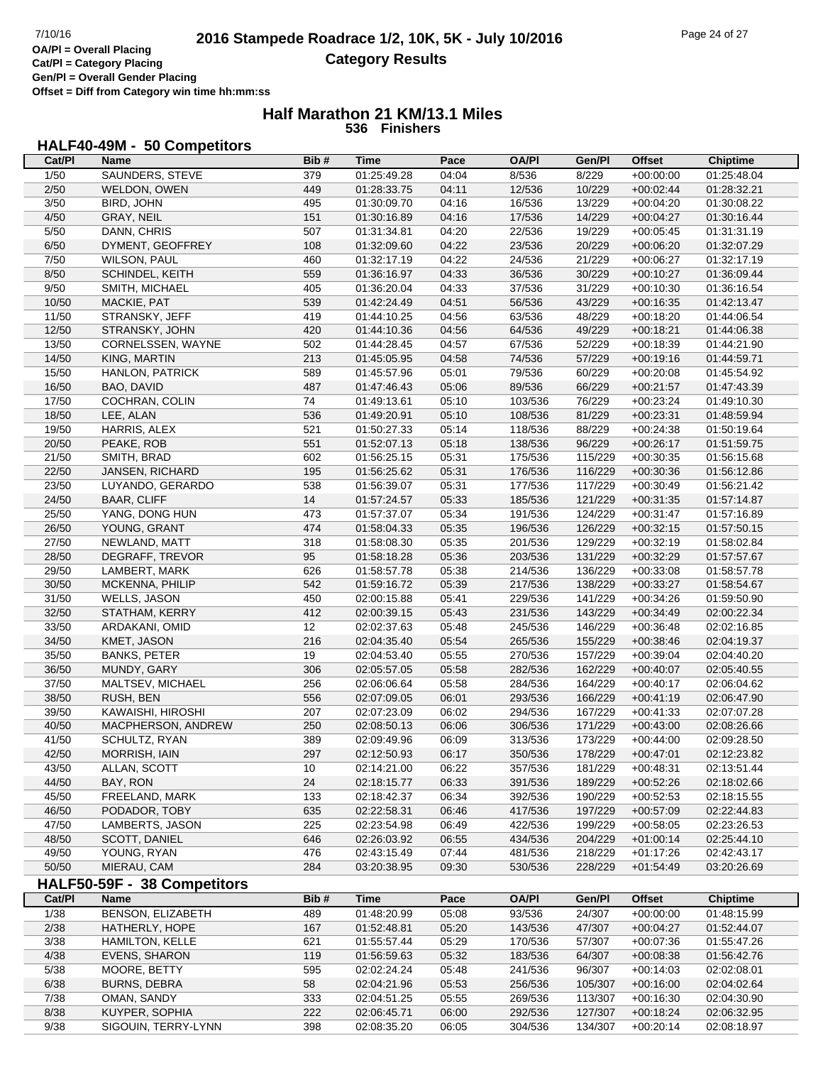**Offset = Diff from Category win time hh:mm:ss**

#### **Half Marathon 21 KM/13.1 Miles 536 Finishers**

#### **HALF40-49M - 50 Competitors**

| Cat/PI         | Name                        | Bib#       | Time        | Pace  | <b>OA/PI</b> | Gen/Pl  | <b>Offset</b> | <b>Chiptime</b> |
|----------------|-----------------------------|------------|-------------|-------|--------------|---------|---------------|-----------------|
| 1/50           | SAUNDERS, STEVE             | 379        | 01:25:49.28 | 04:04 | 8/536        | 8/229   | $+00:00:00$   | 01:25:48.04     |
| 2/50           | WELDON, OWEN                | 449        | 01:28:33.75 | 04:11 | 12/536       | 10/229  | $+00:02:44$   | 01:28:32.21     |
| 3/50           | BIRD, JOHN                  | 495        | 01:30:09.70 | 04:16 | 16/536       | 13/229  | $+00:04:20$   | 01:30:08.22     |
| 4/50           | <b>GRAY, NEIL</b>           | 151        | 01:30:16.89 | 04:16 | 17/536       | 14/229  | $+00:04:27$   | 01:30:16.44     |
| 5/50           | DANN, CHRIS                 | 507        | 01:31:34.81 | 04:20 | 22/536       | 19/229  | $+00:05:45$   | 01:31:31.19     |
| 6/50           | DYMENT, GEOFFREY            | 108        | 01:32:09.60 | 04:22 | 23/536       | 20/229  | $+00:06:20$   | 01:32:07.29     |
| 7/50           | WILSON, PAUL                | 460        | 01:32:17.19 | 04:22 | 24/536       | 21/229  | $+00:06:27$   | 01:32:17.19     |
| 8/50           | SCHINDEL, KEITH             | 559        | 01:36:16.97 | 04:33 | 36/536       | 30/229  | $+00:10:27$   | 01:36:09.44     |
| 9/50           | SMITH, MICHAEL              | 405        | 01:36:20.04 | 04:33 | 37/536       | 31/229  | $+00:10:30$   | 01:36:16.54     |
| 10/50          | MACKIE, PAT                 | 539        | 01:42:24.49 | 04:51 | 56/536       | 43/229  | $+00:16:35$   | 01:42:13.47     |
| 11/50          | STRANSKY, JEFF              | 419        | 01:44:10.25 | 04:56 | 63/536       | 48/229  | $+00:18:20$   | 01:44:06.54     |
| 12/50          | STRANSKY, JOHN              | 420        | 01:44:10.36 | 04:56 | 64/536       | 49/229  | $+00:18:21$   | 01:44:06.38     |
|                |                             |            |             | 04:57 |              |         |               |                 |
| 13/50          | CORNELSSEN, WAYNE           | 502<br>213 | 01:44:28.45 |       | 67/536       | 52/229  | $+00:18:39$   | 01:44:21.90     |
| 14/50          | KING, MARTIN                |            | 01:45:05.95 | 04:58 | 74/536       | 57/229  | $+00:19:16$   | 01:44:59.71     |
| 15/50          | <b>HANLON, PATRICK</b>      | 589        | 01:45:57.96 | 05:01 | 79/536       | 60/229  | $+00:20:08$   | 01:45:54.92     |
| 16/50          | BAO, DAVID                  | 487        | 01:47:46.43 | 05:06 | 89/536       | 66/229  | $+00:21:57$   | 01:47:43.39     |
| 17/50          | COCHRAN, COLIN              | 74         | 01:49:13.61 | 05:10 | 103/536      | 76/229  | $+00:23:24$   | 01:49:10.30     |
| 18/50          | LEE, ALAN                   | 536        | 01:49:20.91 | 05:10 | 108/536      | 81/229  | $+00:23:31$   | 01:48:59.94     |
| 19/50          | HARRIS, ALEX                | 521        | 01:50:27.33 | 05:14 | 118/536      | 88/229  | $+00:24:38$   | 01:50:19.64     |
| 20/50          | PEAKE, ROB                  | 551        | 01:52:07.13 | 05:18 | 138/536      | 96/229  | $+00:26:17$   | 01:51:59.75     |
| 21/50          | SMITH, BRAD                 | 602        | 01:56:25.15 | 05:31 | 175/536      | 115/229 | $+00:30:35$   | 01:56:15.68     |
| 22/50          | JANSEN, RICHARD             | 195        | 01:56:25.62 | 05:31 | 176/536      | 116/229 | $+00:30:36$   | 01:56:12.86     |
| 23/50          | LUYANDO, GERARDO            | 538        | 01:56:39.07 | 05:31 | 177/536      | 117/229 | $+00:30:49$   | 01:56:21.42     |
| 24/50          | <b>BAAR, CLIFF</b>          | 14         | 01:57:24.57 | 05:33 | 185/536      | 121/229 | $+00:31:35$   | 01:57:14.87     |
| 25/50          | YANG, DONG HUN              | 473        | 01:57:37.07 | 05:34 | 191/536      | 124/229 | $+00:31:47$   | 01:57:16.89     |
| 26/50          | YOUNG, GRANT                | 474        | 01:58:04.33 | 05:35 | 196/536      | 126/229 | $+00:32:15$   | 01:57:50.15     |
| 27/50          | NEWLAND, MATT               | 318        | 01:58:08.30 | 05:35 | 201/536      | 129/229 | $+00:32:19$   | 01:58:02.84     |
| 28/50          | DEGRAFF, TREVOR             | 95         | 01:58:18.28 | 05:36 | 203/536      | 131/229 | $+00:32:29$   | 01:57:57.67     |
| 29/50          | LAMBERT, MARK               | 626        | 01:58:57.78 | 05:38 | 214/536      | 136/229 | $+00:33:08$   | 01:58:57.78     |
| 30/50          | MCKENNA, PHILIP             | 542        | 01:59:16.72 | 05:39 | 217/536      | 138/229 | $+00:33:27$   | 01:58:54.67     |
| 31/50          | <b>WELLS, JASON</b>         | 450        | 02:00:15.88 | 05:41 | 229/536      | 141/229 | $+00:34:26$   | 01:59:50.90     |
| 32/50          | STATHAM, KERRY              | 412        | 02:00:39.15 | 05:43 | 231/536      | 143/229 | $+00:34:49$   | 02:00:22.34     |
| 33/50          | ARDAKANI, OMID              | 12         | 02:02:37.63 | 05:48 | 245/536      | 146/229 | $+00:36:48$   | 02:02:16.85     |
| 34/50          | KMET, JASON                 | 216        | 02:04:35.40 | 05:54 | 265/536      | 155/229 | $+00:38:46$   | 02:04:19.37     |
| 35/50          | <b>BANKS, PETER</b>         | 19         | 02:04:53.40 | 05:55 | 270/536      | 157/229 | $+00:39:04$   | 02:04:40.20     |
| 36/50          | MUNDY, GARY                 | 306        | 02:05:57.05 | 05:58 | 282/536      | 162/229 | $+00:40:07$   | 02:05:40.55     |
| 37/50          | MALTSEV, MICHAEL            | 256        | 02:06:06.64 | 05:58 | 284/536      | 164/229 | $+00:40:17$   | 02:06:04.62     |
| 38/50          | RUSH, BEN                   | 556        | 02:07:09.05 | 06:01 | 293/536      | 166/229 | $+00:41:19$   | 02:06:47.90     |
| 39/50          | KAWAISHI, HIROSHI           | 207        | 02:07:23.09 | 06:02 | 294/536      | 167/229 | $+00:41:33$   | 02:07:07.28     |
| 40/50          | MACPHERSON, ANDREW          | 250        | 02:08:50.13 | 06:06 | 306/536      | 171/229 | $+00:43:00$   | 02:08:26.66     |
| 41/50          | SCHULTZ, RYAN               | 389        | 02:09:49.96 | 06:09 | 313/536      | 173/229 | $+00:44:00$   | 02:09:28.50     |
| 42/50          | MORRISH, IAIN               | 297        | 02:12:50.93 | 06:17 | 350/536      | 178/229 | $+00.47.01$   | 02:12:23.82     |
| 43/50          | ALLAN, SCOTT                | 10         | 02:14:21.00 | 06:22 | 357/536      | 181/229 | $+00:48:31$   | 02:13:51.44     |
| 44/50          | BAY, RON                    | 24         | 02:18:15.77 | 06:33 | 391/536      | 189/229 | $+00:52:26$   | 02:18:02.66     |
| 45/50          | FREELAND, MARK              | 133        | 02:18:42.37 | 06:34 | 392/536      | 190/229 | $+00:52:53$   | 02:18:15.55     |
| 46/50          | PODADOR, TOBY               | 635        | 02:22:58.31 | 06:46 | 417/536      | 197/229 | $+00:57:09$   | 02:22:44.83     |
| 47/50          | LAMBERTS, JASON             | 225        | 02:23:54.98 | 06:49 | 422/536      | 199/229 | $+00:58:05$   | 02:23:26.53     |
| 48/50          | SCOTT, DANIEL               | 646        | 02:26:03.92 | 06:55 | 434/536      | 204/229 | $+01:00:14$   | 02:25:44.10     |
| 49/50          | YOUNG, RYAN                 | 476        | 02:43:15.49 | 07:44 | 481/536      | 218/229 | $+01:17:26$   | 02:42:43.17     |
| 50/50          | MIERAU, CAM                 | 284        | 03:20:38.95 | 09:30 | 530/536      | 228/229 | $+01:54:49$   | 03:20:26.69     |
|                | HALF50-59F - 38 Competitors |            |             |       |              |         |               |                 |
| Cat/PI         | Name                        | Bib#       | <b>Time</b> | Pace  | <b>OA/PI</b> | Gen/PI  | <b>Offset</b> | <b>Chiptime</b> |
| 1/38           | BENSON, ELIZABETH           | 489        | 01:48:20.99 | 05:08 | 93/536       | 24/307  | $+00:00:00$   | 01:48:15.99     |
| 2/38           | HATHERLY, HOPE              | 167        | 01:52:48.81 | 05:20 | 143/536      | 47/307  | $+00:04:27$   | 01:52:44.07     |
| $\frac{3}{38}$ | HAMILTON, KELLE             | 621        | 01:55:57.44 | 05:29 | 170/536      | 57/307  | $+00:07:36$   | 01:55:47.26     |
| 4/38           | <b>EVENS, SHARON</b>        | 119        | 01:56:59.63 | 05:32 | 183/536      | 64/307  | $+00:08:38$   | 01:56:42.76     |
|                |                             |            |             |       |              |         |               |                 |
| 5/38<br>6/38   | MOORE, BETTY                | 595        | 02:02:24.24 | 05:48 | 241/536      | 96/307  | $+00:14:03$   | 02:02:08.01     |
|                | <b>BURNS, DEBRA</b>         | 58         | 02:04:21.96 | 05:53 | 256/536      | 105/307 | $+00:16:00$   | 02:04:02.64     |
| 7/38           | OMAN, SANDY                 | 333        | 02:04:51.25 | 05:55 | 269/536      | 113/307 | $+00:16:30$   | 02:04:30.90     |
| 8/38           | KUYPER, SOPHIA              | 222        | 02:06:45.71 | 06:00 | 292/536      | 127/307 | $+00:18:24$   | 02:06:32.95     |
| 9/38           | SIGOUIN, TERRY-LYNN         | 398        | 02:08:35.20 | 06:05 | 304/536      | 134/307 | $+00:20:14$   | 02:08:18.97     |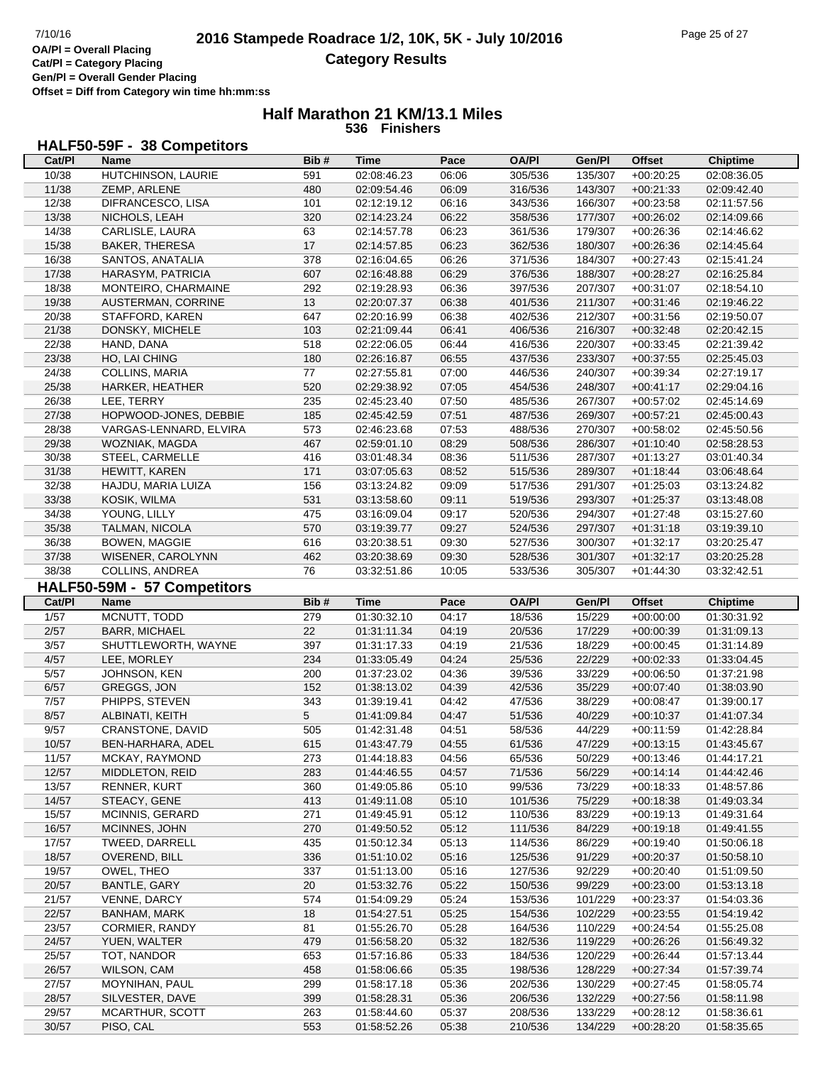**Offset = Diff from Category win time hh:mm:ss**

#### **Half Marathon 21 KM/13.1 Miles 536 Finishers**

# **HALF50-59F - 38 Competitors**

| Cat/PI         | Name                         | Bib#       | Time                       | Pace           | <b>OA/PI</b>       | Gen/Pl             | <b>Offset</b>              | <b>Chiptime</b>            |
|----------------|------------------------------|------------|----------------------------|----------------|--------------------|--------------------|----------------------------|----------------------------|
| 10/38          | HUTCHINSON, LAURIE           | 591        | 02:08:46.23                | 06:06          | 305/536            | 135/307            | $+00:20:25$                | 02:08:36.05                |
| 11/38          | ZEMP, ARLENE                 | 480        | 02:09:54.46                | 06:09          | 316/536            | 143/307            | $+00:21:33$                | 02:09:42.40                |
| 12/38          | DIFRANCESCO, LISA            | 101        | 02:12:19.12                | 06:16          | 343/536            | 166/307            | $+00:23:58$                | 02:11:57.56                |
| 13/38          | NICHOLS, LEAH                | 320        | 02:14:23.24                | 06:22          | 358/536            | 177/307            | $+00:26:02$                | 02:14:09.66                |
| 14/38          | CARLISLE, LAURA              | 63         | 02:14:57.78                | 06:23          | 361/536            | 179/307            | $+00:26:36$                | 02:14:46.62                |
| 15/38          | BAKER, THERESA               | 17         | 02:14:57.85                | 06:23          | 362/536            | 180/307            | $+00:26:36$                | 02:14:45.64                |
| 16/38          | SANTOS, ANATALIA             | 378        | 02:16:04.65                | 06:26          | 371/536            | 184/307            | $+00:27:43$                | 02:15:41.24                |
| 17/38          | HARASYM, PATRICIA            | 607        | 02:16:48.88                | 06:29          | 376/536            | 188/307            | $+00:28:27$                | 02:16:25.84                |
| 18/38          | MONTEIRO, CHARMAINE          | 292        | 02:19:28.93                | 06:36          | 397/536            | 207/307            | $+00:31:07$                | 02:18:54.10                |
| 19/38          | AUSTERMAN, CORRINE           | 13         | 02:20:07.37                | 06:38          | 401/536            | 211/307            | $+00:31:46$                | 02:19:46.22                |
| 20/38          | STAFFORD, KAREN              | 647        | 02:20:16.99                | 06:38          | 402/536            | 212/307            | $+00:31:56$                | 02:19:50.07                |
|                |                              |            |                            |                |                    |                    |                            |                            |
| 21/38          | DONSKY, MICHELE              | 103        | 02:21:09.44                | 06:41          | 406/536            | 216/307            | $+00:32:48$                | 02:20:42.15                |
| 22/38          | HAND, DANA                   | 518        | 02:22:06.05                | 06:44          | 416/536            | 220/307            | $+00:33:45$                | 02:21:39.42                |
| 23/38          | HO, LAI CHING                | 180        | 02:26:16.87                | 06:55          | 437/536            | 233/307            | $+00:37:55$                | 02:25:45.03                |
| 24/38          | COLLINS, MARIA               | 77         | 02:27:55.81                | 07:00          | 446/536            | 240/307            | $+00:39:34$                | 02:27:19.17                |
| 25/38          | HARKER, HEATHER              | 520        | 02:29:38.92                | 07:05          | 454/536            | 248/307            | $+00:41:17$                | 02:29:04.16                |
| 26/38          | LEE, TERRY                   | 235        | 02:45:23.40                | 07:50          | 485/536            | 267/307            | $+00:57:02$                | 02:45:14.69                |
| 27/38          | HOPWOOD-JONES, DEBBIE        | 185        | 02:45:42.59                | 07:51          | 487/536            | 269/307            | $+00:57:21$                | 02:45:00.43                |
| 28/38          | VARGAS-LENNARD, ELVIRA       | 573        | 02:46:23.68                | 07:53          | 488/536            | 270/307            | $+00:58:02$                | 02:45:50.56                |
| 29/38          | WOZNIAK, MAGDA               | 467        | 02:59:01.10                | 08:29          | 508/536            | 286/307            | $+01:10:40$                | 02:58:28.53                |
| 30/38          | STEEL, CARMELLE              | 416        | 03:01:48.34                | 08:36          | 511/536            | 287/307            | $+01:13:27$                | 03:01:40.34                |
| 31/38          | HEWITT, KAREN                | 171        | 03:07:05.63                | 08:52          | 515/536            | 289/307            | $+01:18:44$                | 03:06:48.64                |
| 32/38          | HAJDU, MARIA LUIZA           | 156        | 03:13:24.82                | 09:09          | 517/536            | 291/307            | $+01:25:03$                | 03:13:24.82                |
| 33/38          | KOSIK, WILMA                 | 531        | 03:13:58.60                | 09:11          | 519/536            | 293/307            | $+01:25:37$                | 03:13:48.08                |
| 34/38          | YOUNG, LILLY                 | 475        | 03:16:09.04                | 09:17          | 520/536            | 294/307            | $+01:27:48$                | 03:15:27.60                |
| 35/38          | TALMAN, NICOLA               | 570        | 03:19:39.77                | 09:27          | 524/536            | 297/307            | $+01:31:18$                | 03:19:39.10                |
| 36/38          | <b>BOWEN, MAGGIE</b>         | 616        | 03:20:38.51                | 09:30          | 527/536            | 300/307            | $+01:32:17$                | 03:20:25.47                |
| 37/38          | WISENER, CAROLYNN            | 462        | 03:20:38.69                | 09:30          | 528/536            | 301/307            | $+01:32:17$                | 03:20:25.28                |
| 38/38          | COLLINS, ANDREA              | 76         | 03:32:51.86                | 10:05          | 533/536            | 305/307            | $+01:44:30$                | 03:32:42.51                |
|                | HALF50-59M - 57 Competitors  |            |                            |                |                    |                    |                            |                            |
|                |                              |            |                            |                |                    |                    |                            |                            |
|                |                              |            |                            |                |                    |                    |                            |                            |
| Cat/PI         | <b>Name</b>                  | Bib#       | <b>Time</b>                | Pace           | <b>OA/PI</b>       | Gen/Pl             | <b>Offset</b>              | <b>Chiptime</b>            |
| 1/57           | MCNUTT, TODD                 | 279        | 01:30:32.10                | 04:17          | 18/536             | 15/229             | $+00:00:00$                | 01:30:31.92                |
| $2/57$         | <b>BARR, MICHAEL</b>         | 22         | 01:31:11.34                | 04:19          | 20/536             | 17/229             | $+00:00:39$                | 01:31:09.13                |
| 3/57           | SHUTTLEWORTH, WAYNE          | 397        | 01:31:17.33                | 04:19          | 21/536             | 18/229             | $+00:00:45$                | 01:31:14.89                |
| 4/57           | LEE, MORLEY                  | 234        | 01:33:05.49                | 04:24          | 25/536             | 22/229             | $+00:02:33$                | 01:33:04.45                |
| $5/57$         | JOHNSON, KEN                 | 200        | 01:37:23.02                | 04:36          | 39/536             | 33/229             | $+00:06:50$                | 01:37:21.98                |
| 6/57           | GREGGS, JON                  | 152        | 01:38:13.02                | 04:39          | 42/536             | 35/229             | $+00:07:40$                | 01:38:03.90                |
| 7/57           | PHIPPS, STEVEN               | 343        | 01:39:19.41                | 04:42          | 47/536             | 38/229             | $+00:08:47$                | 01:39:00.17                |
| 8/57           | ALBINATI, KEITH              | 5          | 01:41:09.84                | 04:47          | 51/536             | 40/229             | $+00:10:37$                | 01:41:07.34                |
| 9/57           | CRANSTONE, DAVID             | 505        | 01:42:31.48                | 04:51          | 58/536             | 44/229             | $+00:11:59$                | 01:42:28.84                |
| 10/57          | BEN-HARHARA, ADEL            | 615        | 01:43:47.79                | 04:55          | 61/536             | 47/229             | $+00:13:15$                | 01:43:45.67                |
| 11/57          | MCKAY, RAYMOND               | 273        | 01:44:18.83                | 04:56          | 65/536             | 50/229             | $+00:13:46$                | 01:44:17.21                |
| 12/57          | MIDDLETON, REID              | 283        | 01:44:46.55                | 04:57          | 71/536             | 56/229             | $+00:14:14$                | 01:44:42.46                |
| 13/57          | <b>RENNER, KURT</b>          | 360        | 01:49:05.86                | 05:10          | 99/536             | 73/229             | $+00:18:33$                | 01:48:57.86                |
| 14/57          | STEACY, GENE                 | 413        | 01:49:11.08                | 05:10          | 101/536            | 75/229             | $+00:18:38$                | 01:49:03.34                |
| 15/57          | <b>MCINNIS, GERARD</b>       | 271        | 01:49:45.91                | 05:12          | 110/536            | 83/229             | $+00:19:13$                | 01:49:31.64                |
| 16/57          | MCINNES, JOHN                | 270        | 01:49:50.52                | 05:12          | 111/536            | 84/229             | $+00:19:18$                | 01:49:41.55                |
|                | TWEED, DARRELL               | 435        | 01:50:12.34                | 05:13          |                    | 86/229             | $+00:19:40$                | 01:50:06.18                |
| 17/57          | OVEREND, BILL                |            | 01:51:10.02                |                | 114/536            |                    |                            |                            |
| 18/57          |                              | 336        |                            | 05:16          | 125/536            | 91/229             | $+00:20:37$                | 01:50:58.10                |
| 19/57          | OWEL, THEO                   | 337        | 01:51:13.00                | 05:16          | 127/536            | 92/229             | $+00:20:40$                | 01:51:09.50                |
| 20/57          | <b>BANTLE, GARY</b>          | 20         | 01:53:32.76                | 05:22          | 150/536            | 99/229             | $+00:23:00$                | 01:53:13.18                |
| 21/57          | VENNE, DARCY                 | 574        | 01:54:09.29                | 05:24          | 153/536            | 101/229            | $+00:23:37$                | 01:54:03.36                |
| 22/57          | <b>BANHAM, MARK</b>          | 18         | 01:54:27.51                | 05:25          | 154/536            | 102/229            | $+00:23:55$                | 01:54:19.42                |
| 23/57          | CORMIER, RANDY               | 81         | 01:55:26.70                | 05:28          | 164/536            | 110/229            | $+00:24:54$                | 01:55:25.08                |
| 24/57          | YUEN, WALTER                 | 479        | 01:56:58.20                | 05:32          | 182/536            | 119/229            | $+00:26:26$                | 01:56:49.32                |
| 25/57          | TOT, NANDOR                  | 653        | 01:57:16.86                | 05:33          | 184/536            | 120/229            | $+00:26:44$                | 01:57:13.44                |
| 26/57          | WILSON, CAM                  | 458        | 01:58:06.66                | 05:35          | 198/536            | 128/229            | $+00:27:34$                | 01:57:39.74                |
| 27/57          | MOYNIHAN, PAUL               | 299        | 01:58:17.18                | 05:36          | 202/536            | 130/229            | $+00:27:45$                | 01:58:05.74                |
| 28/57          | SILVESTER, DAVE              | 399        | 01:58:28.31                | 05:36          | 206/536            | 132/229            | $+00:27:56$                | 01:58:11.98                |
| 29/57<br>30/57 | MCARTHUR, SCOTT<br>PISO, CAL | 263<br>553 | 01:58:44.60<br>01:58:52.26 | 05:37<br>05:38 | 208/536<br>210/536 | 133/229<br>134/229 | $+00:28:12$<br>$+00:28:20$ | 01:58:36.61<br>01:58:35.65 |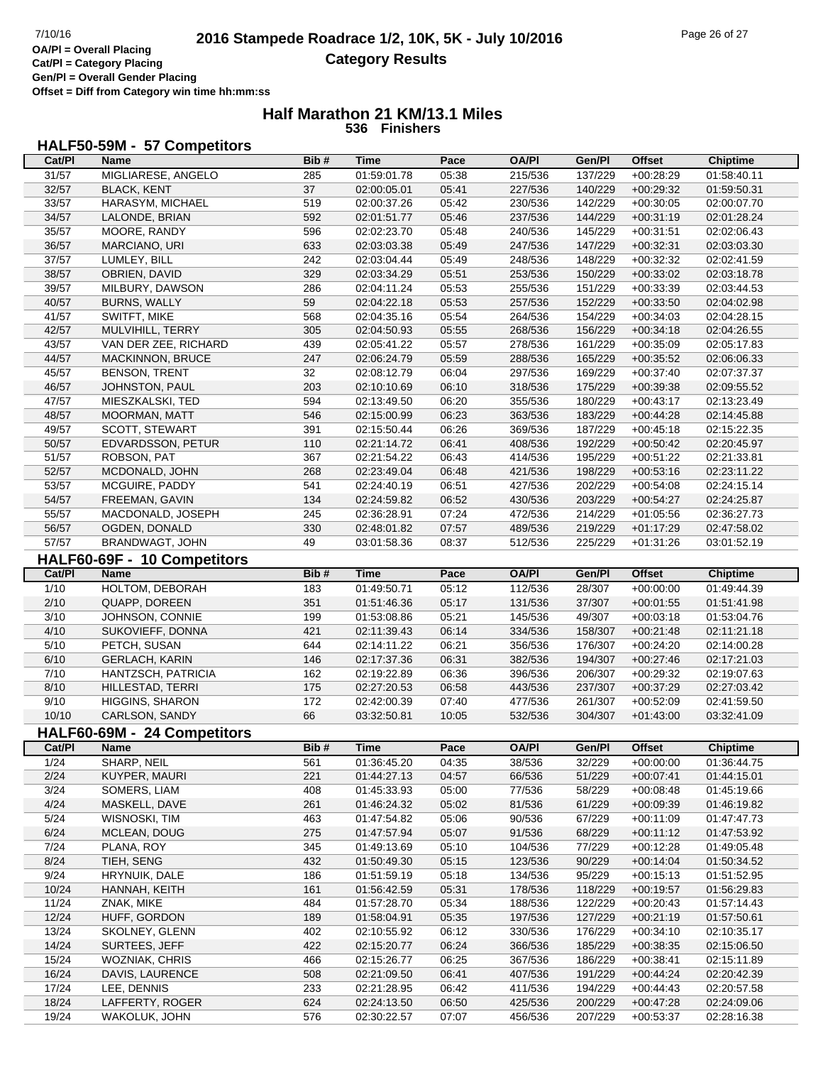**Offset = Diff from Category win time hh:mm:ss**

#### **Half Marathon 21 KM/13.1 Miles 536 Finishers**

## **HALF50-59M - 57 Competitors**

|                | Name                             | Bib#       | Time                       | Pace           | <b>OA/PI</b>       | Gen/Pl             | <b>Offset</b>              | <b>Chiptime</b>            |
|----------------|----------------------------------|------------|----------------------------|----------------|--------------------|--------------------|----------------------------|----------------------------|
| 31/57          | MIGLIARESE, ANGELO               | 285        | 01:59:01.78                | 05:38          | 215/536            | 137/229            | $+00:28:29$                | 01:58:40.11                |
| 32/57          | <b>BLACK, KENT</b>               | 37         | 02:00:05.01                | 05:41          | 227/536            | 140/229            | $+00:29:32$                | 01:59:50.31                |
| 33/57          | HARASYM, MICHAEL                 | 519        | 02:00:37.26                | 05:42          | 230/536            | 142/229            | $+00:30:05$                | 02:00:07.70                |
| 34/57          | LALONDE, BRIAN                   | 592        | 02:01:51.77                | 05:46          | 237/536            | 144/229            | $+00:31:19$                | 02:01:28.24                |
| 35/57          | MOORE, RANDY                     | 596        | 02:02:23.70                | 05:48          | 240/536            | 145/229            | $+00:31:51$                | 02:02:06.43                |
|                |                                  |            |                            |                |                    |                    |                            |                            |
| 36/57          | MARCIANO, URI                    | 633        | 02:03:03.38                | 05:49          | 247/536            | 147/229            | $+00:32:31$                | 02:03:03.30                |
| 37/57          | LUMLEY, BILL                     | 242        | 02:03:04.44                | 05:49          | 248/536            | 148/229            | $+00:32:32$                | 02:02:41.59                |
| 38/57          | OBRIEN, DAVID                    | 329        | 02:03:34.29                | 05:51          | 253/536            | 150/229            | $+00:33:02$                | 02:03:18.78                |
| 39/57          | MILBURY, DAWSON                  | 286        | 02:04:11.24                | 05:53          | 255/536            | 151/229            | $+00:33:39$                | 02:03:44.53                |
| 40/57          | <b>BURNS, WALLY</b>              | 59         | 02:04:22.18                | 05:53          | 257/536            | 152/229            | $+00:33:50$                | 02:04:02.98                |
| 41/57          | SWITFT, MIKE                     | 568        | 02:04:35.16                | 05:54          | 264/536            | 154/229            | $+00:34:03$                | 02:04:28.15                |
| 42/57          | MULVIHILL, TERRY                 | 305        | 02:04:50.93                | 05:55          | 268/536            | 156/229            | $+00:34:18$                | 02:04:26.55                |
| 43/57          | VAN DER ZEE, RICHARD             | 439        | 02:05:41.22                | 05:57          | 278/536            | 161/229            | $+00:35:09$                | 02:05:17.83                |
| 44/57          | MACKINNON, BRUCE                 | 247        | 02:06:24.79                | 05:59          | 288/536            | 165/229            | $+00:35:52$                | 02:06:06.33                |
| 45/57          | <b>BENSON, TRENT</b>             | 32         | 02:08:12.79                | 06:04          | 297/536            | 169/229            | $+00:37:40$                | 02:07:37.37                |
| 46/57          | JOHNSTON, PAUL                   | 203        | 02:10:10.69                | 06:10          | 318/536            | 175/229            | $+00:39:38$                | 02:09:55.52                |
| 47/57          | MIESZKALSKI, TED                 | 594        | 02:13:49.50                | 06:20          | 355/536            | 180/229            | $+00:43:17$                | 02:13:23.49                |
| 48/57          | <b>MOORMAN, MATT</b>             | 546        | 02:15:00.99                | 06:23          | 363/536            | 183/229            | $+00:44:28$                | 02:14:45.88                |
| 49/57          | SCOTT, STEWART                   | 391        | 02:15:50.44                | 06:26          | 369/536            | 187/229            | $+00:45:18$                | 02:15:22.35                |
|                |                                  |            |                            |                |                    |                    |                            |                            |
| 50/57          | EDVARDSSON, PETUR                | 110        | 02:21:14.72                | 06:41          | 408/536            | 192/229            | $+00:50:42$                | 02:20:45.97                |
| 51/57          | ROBSON, PAT                      | 367        | 02:21:54.22                | 06:43          | 414/536            | 195/229            | $+00:51:22$                | 02:21:33.81                |
| 52/57          | MCDONALD, JOHN                   | 268        | 02:23:49.04                | 06:48          | 421/536            | 198/229            | $+00:53:16$                | 02:23:11.22                |
| 53/57          | MCGUIRE, PADDY                   | 541        | 02:24:40.19                | 06:51          | 427/536            | 202/229            | $+00:54:08$                | 02:24:15.14                |
| 54/57          | FREEMAN, GAVIN                   | 134        | 02:24:59.82                | 06:52          | 430/536            | 203/229            | $+00:54:27$                | 02:24:25.87                |
| 55/57          | MACDONALD, JOSEPH                | 245        | 02:36:28.91                | 07:24          | 472/536            | 214/229            | $+01:05:56$                | 02:36:27.73                |
| 56/57          | OGDEN, DONALD                    | 330        | 02:48:01.82                | 07:57          | 489/536            | 219/229            | $+01:17:29$                | 02:47:58.02                |
| 57/57          | BRANDWAGT, JOHN                  | 49         | 03:01:58.36                | 08:37          | 512/536            | 225/229            | $+01:31:26$                | 03:01:52.19                |
|                | HALF60-69F - 10 Competitors      |            |                            |                |                    |                    |                            |                            |
| Cat/PI         | <b>Name</b>                      | Bib#       | <b>Time</b>                | Pace           | <b>OA/PI</b>       | Gen/Pl             | <b>Offset</b>              | <b>Chiptime</b>            |
|                |                                  |            |                            |                |                    |                    |                            |                            |
| $\frac{1}{10}$ | HOLTOM, DEBORAH                  | 183        | 01:49:50.71                | 05:12          | 112/536            | 28/307             | $+00:00:00$                | 01:49:44.39                |
| 2/10           | QUAPP, DOREEN                    | 351        | 01:51:46.36                | 05:17          | 131/536            | 37/307             | $+00:01:55$                | 01:51:41.98                |
|                | JOHNSON, CONNIE                  | 199        | 01:53:08.86                | 05:21          | 145/536            | 49/307             | $+00:03:18$                | 01:53:04.76                |
| 3/10           |                                  |            |                            |                |                    |                    |                            |                            |
| 4/10           | SUKOVIEFF, DONNA                 | 421        | 02:11:39.43                | 06:14          | 334/536            | 158/307            | $+00:21:48$                | 02:11:21.18                |
| 5/10           | PETCH, SUSAN                     | 644        | 02:14:11.22                | 06:21          | 356/536            | 176/307            | $+00:24:20$                | 02:14:00.28                |
| 6/10           | <b>GERLACH, KARIN</b>            | 146        | 02:17:37.36                | 06:31          | 382/536            | 194/307            | $+00:27:46$                | 02:17:21.03                |
| 7/10           | HANTZSCH, PATRICIA               | 162        | 02:19:22.89                | 06:36          | 396/536            | 206/307            | $+00:29:32$                | 02:19:07.63                |
| 8/10           | HILLESTAD, TERRI                 | 175        | 02:27:20.53                | 06:58          | 443/536            | 237/307            | $+00:37:29$                | 02:27:03.42                |
| 9/10           | <b>HIGGINS, SHARON</b>           | 172        | 02:42:00.39                | 07:40          | 477/536            | 261/307            | $+00:52:09$                | 02:41:59.50                |
| 10/10          | CARLSON, SANDY                   | 66         | 03:32:50.81                | 10:05          | 532/536            | 304/307            | $+01:43:00$                | 03:32:41.09                |
|                |                                  |            |                            |                |                    |                    |                            |                            |
|                | HALF60-69M - 24 Competitors      |            |                            |                |                    |                    |                            |                            |
| Cat/Pl         | <b>Name</b>                      | Bib#       | <b>Time</b>                | Pace           | <b>OA/PI</b>       | Gen/Pl             | <b>Offset</b>              | <b>Chiptime</b>            |
| 1/24           | SHARP, NEIL                      | 561        | 01:36:45.20                | 04:35          | 38/536             | 32/229             | $+00:00:00$                | 01:36:44.75                |
| 2/24           | KUYPER, MAURI                    | 221        | 01:44:27.13                | 04:57          | 66/536             | 51/229             | $+00:07:41$                | 01:44:15.01                |
| 3/24           | SOMERS, LIAM                     | 408        | 01:45:33.93                | 05:00          | 77/536             | 58/229             | $+00.08:48$                | 01:45:19.66                |
| 4/24           | MASKELL, DAVE                    | 261        | 01:46:24.32                | 05:02          | 81/536             | 61/229             | $+00:09:39$                | 01:46:19.82                |
| 5/24           | WISNOSKI, TIM                    | 463        | 01:47:54.82                | 05:06          | 90/536             | 67/229             | $+00:11:09$                | 01:47:47.73                |
| 6/24           | MCLEAN, DOUG                     | 275        | 01:47:57.94                | 05:07          | 91/536             | 68/229             | $+00:11:12$                | 01:47:53.92                |
| 7/24           | PLANA, ROY                       | 345        | 01:49:13.69                | 05:10          | 104/536            | 77/229             | $+00:12:28$                | 01:49:05.48                |
| 8/24           | TIEH, SENG                       | 432        | 01:50:49.30                | 05:15          | 123/536            | 90/229             | $+00:14:04$                | 01:50:34.52                |
| 9/24           | HRYNUIK, DALE                    | 186        | 01:51:59.19                | 05:18          | 134/536            | 95/229             | $+00:15:13$                | 01:51:52.95                |
| 10/24          | HANNAH, KEITH                    | 161        | 01:56:42.59                | 05:31          | 178/536            | 118/229            | $+00:19:57$                | 01:56:29.83                |
| 11/24          | ZNAK, MIKE                       | 484        | 01:57:28.70                | 05:34          | 188/536            | 122/229            | $+00:20:43$                | 01:57:14.43                |
|                |                                  |            |                            |                |                    |                    |                            |                            |
| 12/24          | HUFF, GORDON                     | 189        | 01:58:04.91                | 05:35          | 197/536            | 127/229            | $+00:21:19$                | 01:57:50.61                |
| 13/24          | SKOLNEY, GLENN                   | 402        | 02:10:55.92                | 06:12          | 330/536            | 176/229            | $+00:34:10$                | 02:10:35.17                |
| 14/24          | SURTEES, JEFF                    | 422        | 02:15:20.77                | 06:24          | 366/536            | 185/229            | $+00:38:35$                | 02:15:06.50                |
| 15/24          | <b>WOZNIAK, CHRIS</b>            | 466        | 02:15:26.77                | 06:25          | 367/536            | 186/229            | $+00:38:41$                | 02:15:11.89                |
| 16/24          | DAVIS, LAURENCE                  | 508        | 02:21:09.50                | 06:41          | 407/536            | 191/229            | $+00:44:24$                | 02:20:42.39                |
| 17/24          | LEE, DENNIS                      | 233        | 02:21:28.95                | 06:42          | 411/536            | 194/229            | $+00:44:43$                | 02:20:57.58                |
| 18/24<br>19/24 | LAFFERTY, ROGER<br>WAKOLUK, JOHN | 624<br>576 | 02:24:13.50<br>02:30:22.57 | 06:50<br>07:07 | 425/536<br>456/536 | 200/229<br>207/229 | $+00:47:28$<br>$+00:53:37$ | 02:24:09.06<br>02:28:16.38 |